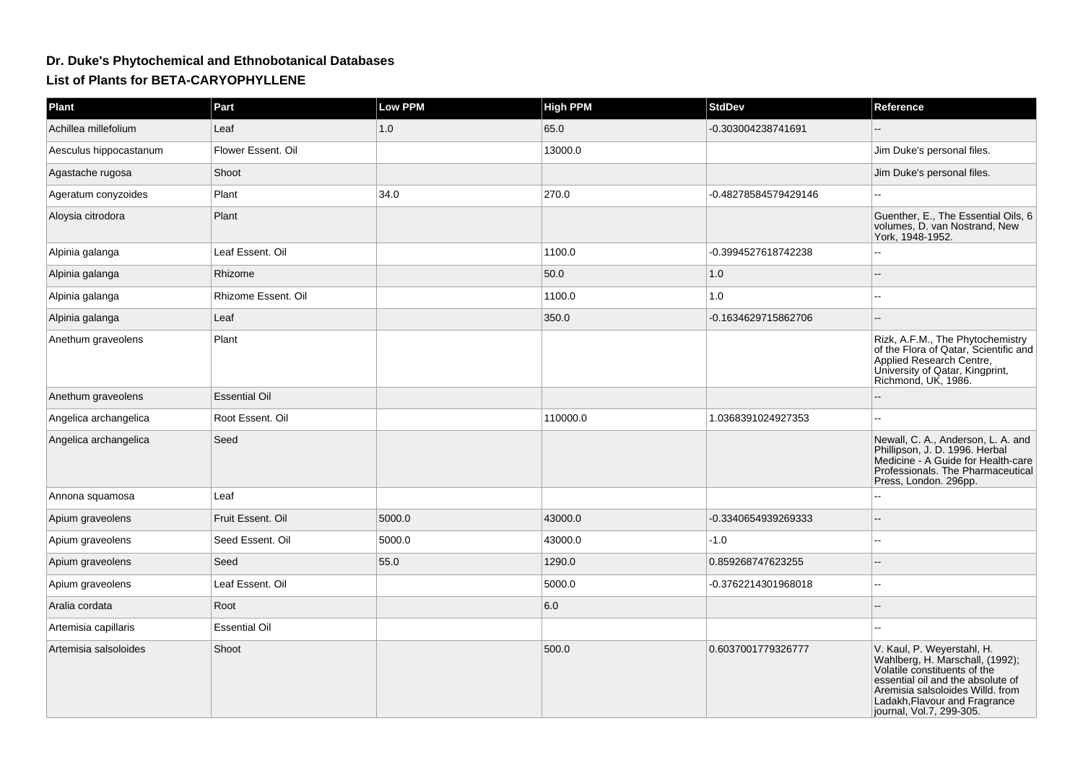## **Dr. Duke's Phytochemical and Ethnobotanical DatabasesList of Plants for BETA-CARYOPHYLLENE**

| Plant                  | Part                 | Low PPM | <b>High PPM</b> | <b>StdDev</b>        | Reference                                                                                                                                                                                                                           |
|------------------------|----------------------|---------|-----------------|----------------------|-------------------------------------------------------------------------------------------------------------------------------------------------------------------------------------------------------------------------------------|
| Achillea millefolium   | Leaf                 | 1.0     | 65.0            | -0.303004238741691   |                                                                                                                                                                                                                                     |
| Aesculus hippocastanum | Flower Essent. Oil   |         | 13000.0         |                      | Jim Duke's personal files.                                                                                                                                                                                                          |
| Agastache rugosa       | Shoot                |         |                 |                      | Jim Duke's personal files.                                                                                                                                                                                                          |
| Ageratum conyzoides    | Plant                | 34.0    | 270.0           | -0.48278584579429146 |                                                                                                                                                                                                                                     |
| Aloysia citrodora      | Plant                |         |                 |                      | Guenther, E., The Essential Oils, 6<br>volumes, D. van Nostrand, New<br>York. 1948-1952.                                                                                                                                            |
| Alpinia galanga        | Leaf Essent. Oil     |         | 1100.0          | -0.3994527618742238  |                                                                                                                                                                                                                                     |
| Alpinia galanga        | Rhizome              |         | 50.0            | 1.0                  |                                                                                                                                                                                                                                     |
| Alpinia galanga        | Rhizome Essent. Oil  |         | 1100.0          | 1.0                  |                                                                                                                                                                                                                                     |
| Alpinia galanga        | Leaf                 |         | 350.0           | -0.1634629715862706  |                                                                                                                                                                                                                                     |
| Anethum graveolens     | Plant                |         |                 |                      | Rizk, A.F.M., The Phytochemistry<br>of the Flora of Qatar, Scientific and<br>Applied Research Centre,<br>University of Qatar, Kingprint,<br>Richmond, UK, 1986.                                                                     |
| Anethum graveolens     | <b>Essential Oil</b> |         |                 |                      |                                                                                                                                                                                                                                     |
| Angelica archangelica  | Root Essent. Oil     |         | 110000.0        | 1.0368391024927353   |                                                                                                                                                                                                                                     |
| Angelica archangelica  | Seed                 |         |                 |                      | Newall, C. A., Anderson, L. A. and<br>Phillipson, J. D. 1996. Herbal<br>Medicine - A Guide for Health-care<br>Professionals. The Pharmaceutical<br>Press, London. 296pp.                                                            |
| Annona squamosa        | Leaf                 |         |                 |                      |                                                                                                                                                                                                                                     |
| Apium graveolens       | Fruit Essent, Oil    | 5000.0  | 43000.0         | -0.3340654939269333  |                                                                                                                                                                                                                                     |
| Apium graveolens       | Seed Essent. Oil     | 5000.0  | 43000.0         | $-1.0$               |                                                                                                                                                                                                                                     |
| Apium graveolens       | Seed                 | 55.0    | 1290.0          | 0.859268747623255    |                                                                                                                                                                                                                                     |
| Apium graveolens       | Leaf Essent. Oil     |         | 5000.0          | -0.3762214301968018  |                                                                                                                                                                                                                                     |
| Aralia cordata         | Root                 |         | 6.0             |                      |                                                                                                                                                                                                                                     |
| Artemisia capillaris   | <b>Essential Oil</b> |         |                 |                      |                                                                                                                                                                                                                                     |
| Artemisia salsoloides  | Shoot                |         | 500.0           | 0.6037001779326777   | V. Kaul, P. Weyerstahl, H.<br>Wahlberg, H. Marschall, (1992);<br>Volatile constituents of the<br>essential oil and the absolute of<br>Aremisia salsoloides Willd. from<br>Ladakh, Flavour and Fragrance<br>journal, Vol.7, 299-305. |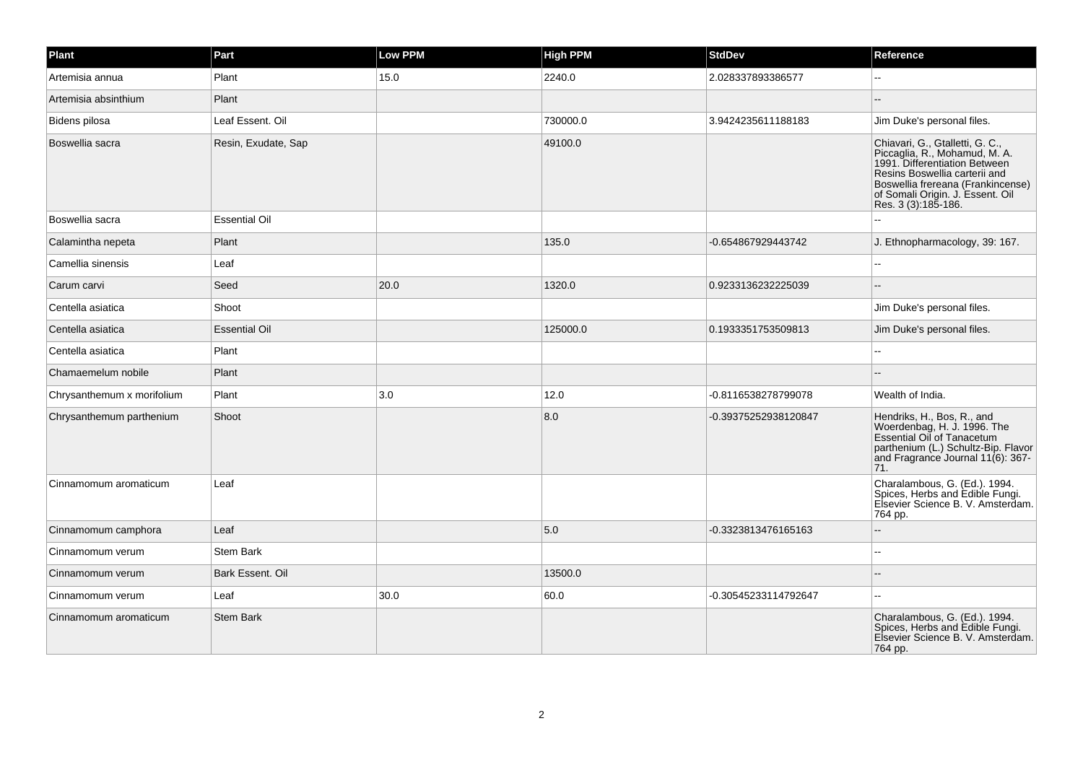| Plant                      | Part                 | <b>Low PPM</b> | <b>High PPM</b> | <b>StdDev</b>        | Reference                                                                                                                                                                                                                          |
|----------------------------|----------------------|----------------|-----------------|----------------------|------------------------------------------------------------------------------------------------------------------------------------------------------------------------------------------------------------------------------------|
| Artemisia annua            | Plant                | 15.0           | 2240.0          | 2.028337893386577    |                                                                                                                                                                                                                                    |
| Artemisia absinthium       | Plant                |                |                 |                      |                                                                                                                                                                                                                                    |
| Bidens pilosa              | Leaf Essent. Oil     |                | 730000.0        | 3.9424235611188183   | Jim Duke's personal files.                                                                                                                                                                                                         |
| Boswellia sacra            | Resin, Exudate, Sap  |                | 49100.0         |                      | Chiavari, G., Gtalletti, G. C.,<br>Piccaglia, R., Mohamud, M. A.<br>1991. Differentiation Between<br>Resins Boswellia carterii and<br>Boswellia frereana (Frankincense)<br>of Somali Origin. J. Essent. Oil<br>Res. 3 (3):185-186. |
| Boswellia sacra            | <b>Essential Oil</b> |                |                 |                      |                                                                                                                                                                                                                                    |
| Calamintha nepeta          | Plant                |                | 135.0           | -0.654867929443742   | J. Ethnopharmacology, 39: 167.                                                                                                                                                                                                     |
| Camellia sinensis          | Leaf                 |                |                 |                      | ä.                                                                                                                                                                                                                                 |
| Carum carvi                | Seed                 | 20.0           | 1320.0          | 0.9233136232225039   | $\sim$                                                                                                                                                                                                                             |
| Centella asiatica          | Shoot                |                |                 |                      | Jim Duke's personal files.                                                                                                                                                                                                         |
| Centella asiatica          | <b>Essential Oil</b> |                | 125000.0        | 0.1933351753509813   | Jim Duke's personal files.                                                                                                                                                                                                         |
| Centella asiatica          | Plant                |                |                 |                      |                                                                                                                                                                                                                                    |
| Chamaemelum nobile         | Plant                |                |                 |                      | $\sim$                                                                                                                                                                                                                             |
| Chrysanthemum x morifolium | Plant                | 3.0            | 12.0            | -0.8116538278799078  | Wealth of India.                                                                                                                                                                                                                   |
| Chrysanthemum parthenium   | Shoot                |                | 8.0             | -0.39375252938120847 | Hendriks, H., Bos, R., and<br>Woerdenbag, H. J. 1996. The<br>Essential Oil of Tanacetum<br>parthenium (L.) Schultz-Bip. Flavor<br>and Fragrance Journal 11(6): 367-<br>71.                                                         |
| Cinnamomum aromaticum      | Leaf                 |                |                 |                      | Charalambous, G. (Ed.). 1994.<br>Spices, Herbs and Edible Fungi.<br>Elsevier Science B. V. Amsterdam.<br>764 pp.                                                                                                                   |
| Cinnamomum camphora        | Leaf                 |                | 5.0             | -0.3323813476165163  |                                                                                                                                                                                                                                    |
| Cinnamomum verum           | <b>Stem Bark</b>     |                |                 |                      | $\sim$                                                                                                                                                                                                                             |
| Cinnamomum verum           | Bark Essent, Oil     |                | 13500.0         |                      |                                                                                                                                                                                                                                    |
| Cinnamomum verum           | Leaf                 | 30.0           | 60.0            | -0.30545233114792647 | L.                                                                                                                                                                                                                                 |
| Cinnamomum aromaticum      | <b>Stem Bark</b>     |                |                 |                      | Charalambous, G. (Ed.). 1994.<br>Spices, Herbs and Edible Fungi.<br>Elsevier Science B. V. Amsterdam.<br>764 pp.                                                                                                                   |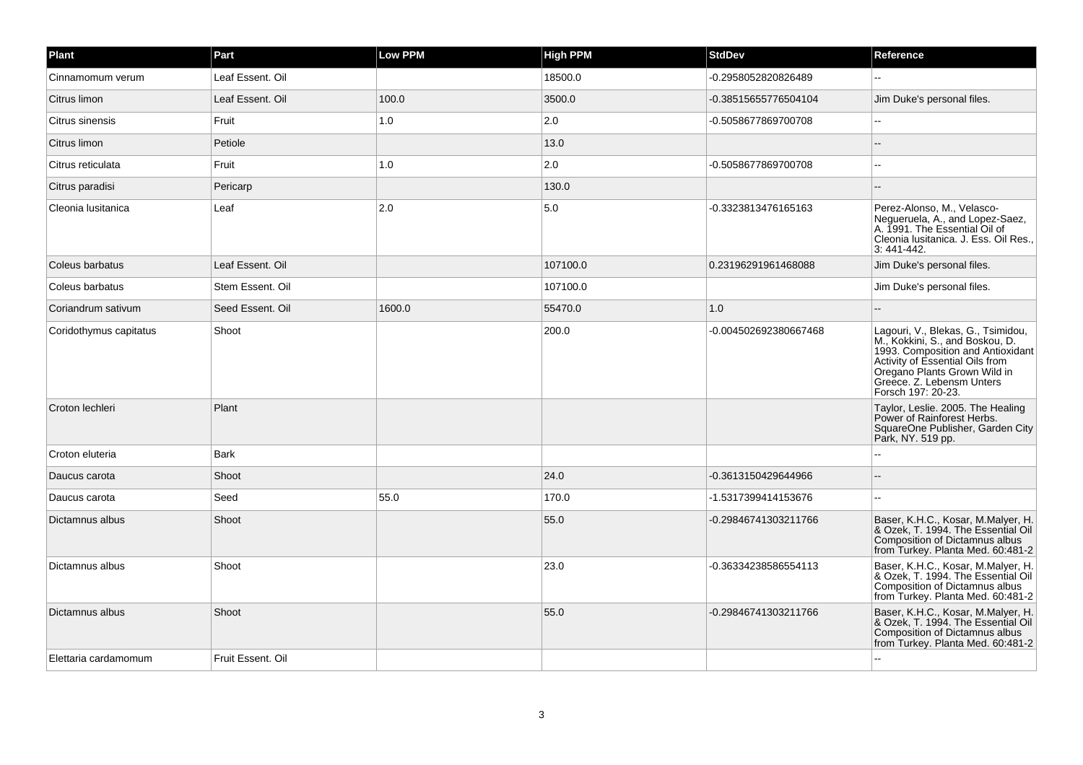| Plant                  | Part              | <b>Low PPM</b> | <b>High PPM</b> | <b>StdDev</b>         | Reference                                                                                                                                                                                                                        |
|------------------------|-------------------|----------------|-----------------|-----------------------|----------------------------------------------------------------------------------------------------------------------------------------------------------------------------------------------------------------------------------|
| Cinnamomum verum       | Leaf Essent. Oil  |                | 18500.0         | -0.2958052820826489   |                                                                                                                                                                                                                                  |
| Citrus limon           | Leaf Essent. Oil  | 100.0          | 3500.0          | -0.38515655776504104  | Jim Duke's personal files.                                                                                                                                                                                                       |
| Citrus sinensis        | Fruit             | 1.0            | 2.0             | -0.5058677869700708   | $\sim$                                                                                                                                                                                                                           |
| Citrus limon           | Petiole           |                | 13.0            |                       |                                                                                                                                                                                                                                  |
| Citrus reticulata      | Fruit             | 1.0            | 2.0             | -0.5058677869700708   | ц,                                                                                                                                                                                                                               |
| Citrus paradisi        | Pericarp          |                | 130.0           |                       | $\sim$                                                                                                                                                                                                                           |
| Cleonia Iusitanica     | Leaf              | 2.0            | $5.0\,$         | -0.3323813476165163   | Perez-Alonso, M., Velasco-<br>Negueruela, A., and Lopez-Saez,<br>A. 1991. The Essential Oil of<br>Cleonia Iusitanica. J. Ess. Oil Res.,<br>3: 441-442.                                                                           |
| Coleus barbatus        | Leaf Essent. Oil  |                | 107100.0        | 0.23196291961468088   | Jim Duke's personal files.                                                                                                                                                                                                       |
| Coleus barbatus        | Stem Essent. Oil  |                | 107100.0        |                       | Jim Duke's personal files.                                                                                                                                                                                                       |
| Coriandrum sativum     | Seed Essent, Oil  | 1600.0         | 55470.0         | 1.0                   |                                                                                                                                                                                                                                  |
| Coridothymus capitatus | Shoot             |                | 200.0           | -0.004502692380667468 | Lagouri, V., Blekas, G., Tsimidou,<br>M., Kokkini, S., and Boskou, D.<br>1993. Composition and Antioxidant<br>Activity of Essential Oils from<br>Oregano Plants Grown Wild in<br>Greece. Z. Lebensm Unters<br>Forsch 197: 20-23. |
| Croton lechleri        | Plant             |                |                 |                       | Taylor, Leslie. 2005. The Healing<br>Power of Rainforest Herbs.<br>SquareOne Publisher, Garden City<br>Park, NY. 519 pp.                                                                                                         |
| Croton eluteria        | <b>Bark</b>       |                |                 |                       |                                                                                                                                                                                                                                  |
| Daucus carota          | Shoot             |                | 24.0            | -0.3613150429644966   | $\sim$                                                                                                                                                                                                                           |
| Daucus carota          | Seed              | 55.0           | 170.0           | -1.5317399414153676   | $\sim$                                                                                                                                                                                                                           |
| Dictamnus albus        | Shoot             |                | 55.0            | -0.29846741303211766  | Baser, K.H.C., Kosar, M.Malyer, H.<br>& Ozek, T. 1994. The Essential Oil<br>Composition of Dictamnus albus<br>from Turkey. Planta Med. 60:481-2                                                                                  |
| Dictamnus albus        | Shoot             |                | 23.0            | -0.36334238586554113  | Baser, K.H.C., Kosar, M.Malyer, H.<br>& Ozek. T. 1994. The Essential Oil<br>Composition of Dictamnus albus<br>from Turkey. Planta Med. 60:481-2                                                                                  |
| Dictamnus albus        | Shoot             |                | 55.0            | -0.29846741303211766  | Baser, K.H.C., Kosar, M.Malyer, H.<br>& Ozek, T. 1994. The Essential Oil<br>Composition of Dictamnus albus<br>from Turkey. Planta Med. 60:481-2                                                                                  |
| Elettaria cardamomum   | Fruit Essent, Oil |                |                 |                       |                                                                                                                                                                                                                                  |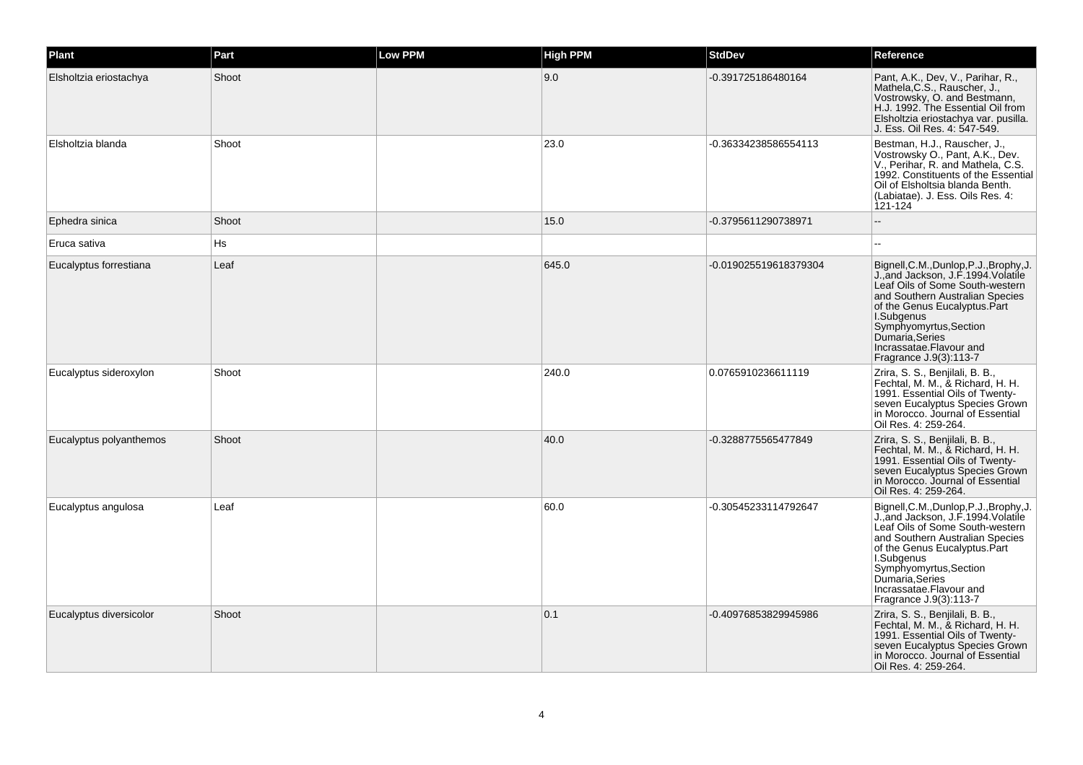| Plant                   | Part  | <b>Low PPM</b> | <b>High PPM</b> | <b>StdDev</b>         | Reference                                                                                                                                                                                                                                                                                             |
|-------------------------|-------|----------------|-----------------|-----------------------|-------------------------------------------------------------------------------------------------------------------------------------------------------------------------------------------------------------------------------------------------------------------------------------------------------|
| Elsholtzia eriostachya  | Shoot |                | 9.0             | -0.391725186480164    | Pant, A.K., Dev, V., Parihar, R.,<br>Mathela, C.S., Rauscher, J.,<br>Vostrowsky, O. and Bestmann,<br>H.J. 1992. The Essential Oil from<br>Elsholtzia eriostachya var. pusilla.<br>J. Ess. Oil Res. 4: 547-549.                                                                                        |
| Elsholtzia blanda       | Shoot |                | 23.0            | -0.36334238586554113  | Bestman, H.J., Rauscher, J.,<br>Vostrowsky O., Pant, A.K., Dev.<br>V., Perihar, R. and Mathela, C.S.<br>1992. Constituents of the Essential<br>Oil of Elsholtsia blanda Benth.<br>(Labiatae). J. Ess. Oils Res. 4:<br>121-124                                                                         |
| Ephedra sinica          | Shoot |                | 15.0            | -0.3795611290738971   | ш,                                                                                                                                                                                                                                                                                                    |
| Eruca sativa            | Hs    |                |                 |                       | $\overline{a}$                                                                                                                                                                                                                                                                                        |
| Eucalyptus forrestiana  | Leaf  |                | 645.0           | -0.019025519618379304 | Bignell, C.M., Dunlop, P.J., Brophy, J.<br>J., and Jackson, J.F. 1994. Volatile<br>Leaf Oils of Some South-western<br>and Southern Australian Species<br>of the Genus Eucalyptus. Part<br>I.Subgenus<br>Symphyomyrtus, Section<br>Dumaria Series<br>Incrassatae.Flavour and<br>Fragrance J.9(3):113-7 |
| Eucalyptus sideroxylon  | Shoot |                | 240.0           | 0.0765910236611119    | Zrira, S. S., Benjilali, B. B.,<br>Fechtal, M. M., & Richard, H. H.<br>1991. Essential Oils of Twenty-<br>seven Eucalyptus Species Grown<br>in Morocco. Journal of Essential<br>Oil Res. 4: 259-264.                                                                                                  |
| Eucalyptus polyanthemos | Shoot |                | 40.0            | -0.3288775565477849   | Zrira, S. S., Benjilali, B. B.,<br>Fechtal, M. M., & Richard, H. H.<br>1991. Essential Oils of Twenty-<br>seven Eucalyptus Species Grown<br>in Morocco. Journal of Essential<br>Oil Res. 4: 259-264.                                                                                                  |
| Eucalyptus angulosa     | Leaf  |                | 60.0            | -0.30545233114792647  | Bignell, C.M., Dunlop, P.J., Brophy, J.<br>J.,and Jackson, J.F.1994.Volatile<br>Leaf Oils of Some South-western<br>and Southern Australian Species<br>of the Genus Eucalyptus.Part<br>I.Subgenus<br>Symphyomyrtus, Section<br>Dumaría, Series<br>Incrassatae.Flavour and<br>Fragrance J.9(3):113-7    |
| Eucalyptus diversicolor | Shoot |                | 0.1             | -0.40976853829945986  | Zrira, S. S., Benjilali, B. B.,<br>Fechtal, M. M., & Richard, H. H.<br>1991. Essential Oils of Twenty-<br>seven Eucalyptus Species Grown<br>in Morocco. Journal of Essential<br>Oil Res. 4: 259-264.                                                                                                  |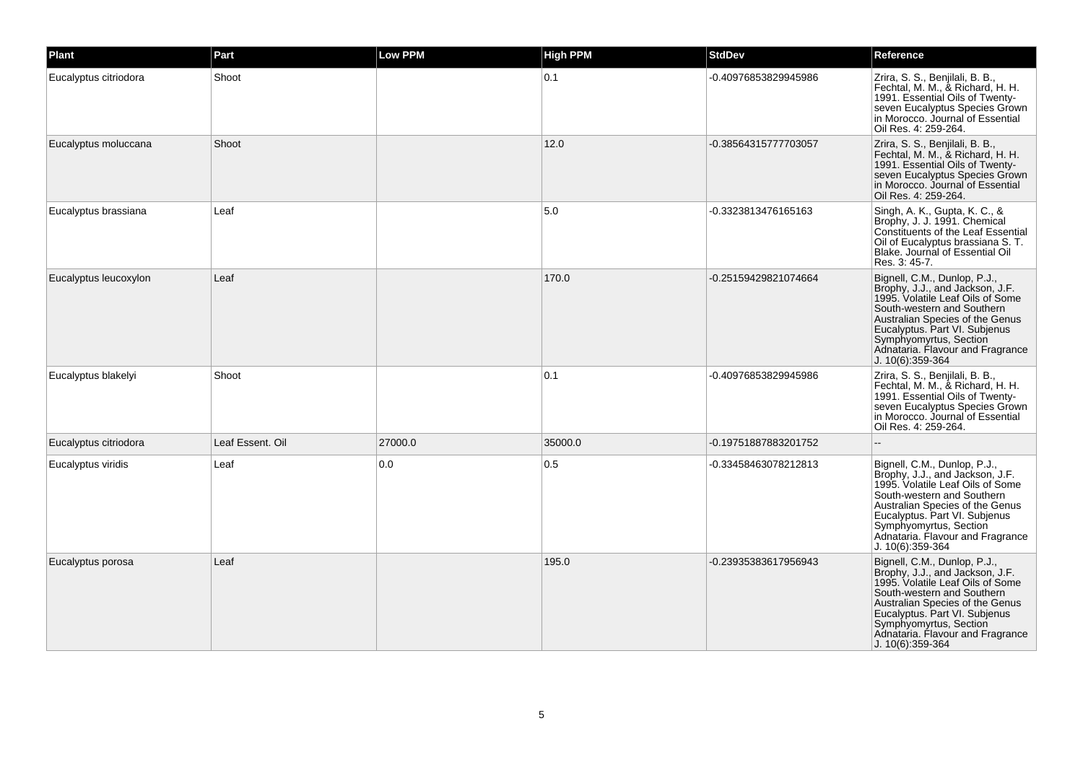| <b>Plant</b>          | Part             | Low PPM | <b>High PPM</b> | <b>StdDev</b>        | Reference                                                                                                                                                                                                                                                                               |
|-----------------------|------------------|---------|-----------------|----------------------|-----------------------------------------------------------------------------------------------------------------------------------------------------------------------------------------------------------------------------------------------------------------------------------------|
| Eucalyptus citriodora | Shoot            |         | 0.1             | -0.40976853829945986 | Zrira, S. S., Benjilali, B. B.,<br>Fechtal, M. M., & Richard, H. H.<br>1991. Essential Oils of Twenty-<br>seven Eucalyptus Species Grown<br>in Morocco. Journal of Essential<br>Oil Res. 4: 259-264.                                                                                    |
| Eucalyptus moluccana  | Shoot            |         | 12.0            | -0.38564315777703057 | Zrira, S. S., Benjilali, B. B.,<br>Fechtal, M. M., & Richard, H. H.<br>1991. Essential Oils of Twenty-<br>seven Eucalyptus Species Grown<br>in Morocco. Journal of Essential<br>Oil Res. 4: 259-264.                                                                                    |
| Eucalyptus brassiana  | Leaf             |         | 5.0             | -0.3323813476165163  | Singh, A. K., Gupta, K. C., &<br>Brophy, J. J. 1991. Chemical<br><b>Constituents of the Leaf Essential</b><br>Oil of Eucalyptus brassiana S. T.<br>Blake. Journal of Essential Oil<br>Res. 3: 45-7.                                                                                     |
| Eucalyptus leucoxylon | Leaf             |         | 170.0           | -0.25159429821074664 | Bignell, C.M., Dunlop, P.J.,<br>Brophy, J.J., and Jackson, J.F.<br>1995. Volatile Leaf Oils of Some<br>South-western and Southern<br>Australian Species of the Genus<br>Eucalyptus. Part VI. Subjenus<br>Symphyomyrtus, Section<br>Adnataria. Flavour and Fragrance<br>J. 10(6):359-364 |
| Eucalyptus blakelyi   | Shoot            |         | 0.1             | -0.40976853829945986 | Zrira, S. S., Benjilali, B. B.,<br>Fechtal, M. M., & Richard, H. H.<br>1991. Essential Oils of Twenty-<br>seven Eucalyptus Species Grown<br>in Morocco. Journal of Essential<br>Oil Res. 4: 259-264.                                                                                    |
| Eucalyptus citriodora | Leaf Essent. Oil | 27000.0 | 35000.0         | -0.19751887883201752 |                                                                                                                                                                                                                                                                                         |
| Eucalyptus viridis    | Leaf             | 0.0     | 0.5             | -0.33458463078212813 | Bignell, C.M., Dunlop, P.J.,<br>Brophy, J.J., and Jackson, J.F.<br>1995. Volatile Leaf Oils of Some<br>South-western and Southern<br>Australian Species of the Genus<br>Eucalyptus. Part VI. Subjenus<br>Symphyomyrtus, Section<br>Adnataria. Flavour and Fragrance<br>J. 10(6):359-364 |
| Eucalyptus porosa     | Leaf             |         | 195.0           | -0.23935383617956943 | Bignell, C.M., Dunlop, P.J.,<br>Brophy, J.J., and Jackson, J.F.<br>1995. Volatile Leaf Oils of Some<br>South-western and Southern<br>Australian Species of the Genus<br>Eucalyptus. Part VI. Subjenus<br>Symphyomyrtus, Section<br>Adnataria. Flavour and Fragrance<br>J. 10(6):359-364 |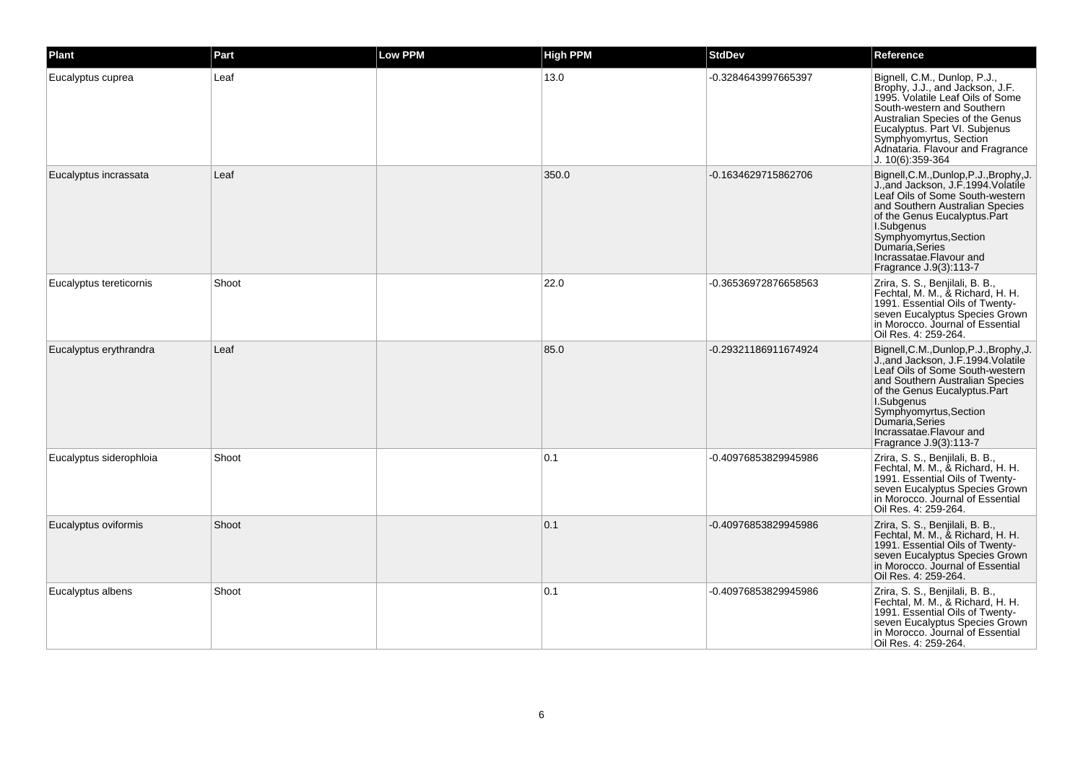| <b>Plant</b>            | Part  | <b>Low PPM</b> | <b>High PPM</b> | <b>StdDev</b>        | Reference                                                                                                                                                                                                                                                                                            |
|-------------------------|-------|----------------|-----------------|----------------------|------------------------------------------------------------------------------------------------------------------------------------------------------------------------------------------------------------------------------------------------------------------------------------------------------|
| Eucalyptus cuprea       | Leaf  |                | 13.0            | -0.3284643997665397  | Bignell, C.M., Dunlop, P.J.,<br>Brophy, J.J., and Jackson, J.F.<br>1995. Volatile Leaf Oils of Some<br>South-western and Southern<br>Australian Species of the Genus<br>Eucalyptus. Part VI. Subjenus<br>Symphyomyrtus, Section<br>Adnataria. Flavour and Fragrance<br>J. 10(6):359-364              |
| Eucalyptus incrassata   | Leaf  |                | 350.0           | -0.1634629715862706  | Bignell, C.M., Dunlop, P.J., Brophy, J.<br>J. and Jackson, J.F.1994. Volatile<br>Leaf Oils of Some South-western<br>and Southern Australian Species<br>of the Genus Eucalyptus.Part<br>I.Subgenus<br>Symphyomyrtus, Section<br>Dumaría Series<br>Incrassatae.Flavour and<br>Fragrance J.9(3):113-7   |
| Eucalyptus tereticornis | Shoot |                | 22.0            | -0.36536972876658563 | Zrira, S. S., Benjilali, B. B.,<br>Fechtal, M. M., & Richard, H. H.<br>1991. Essential Oils of Twenty-<br>seven Eucalyptus Species Grown<br>in Morocco. Journal of Essential<br>Oil Res. 4: 259-264.                                                                                                 |
| Eucalyptus erythrandra  | Leaf  |                | 85.0            | -0.29321186911674924 | Bignell, C.M., Dunlop, P.J., Brophy, J.<br>J. and Jackson, J.F.1994. Volatile<br>Leaf Oils of Some South-western<br>and Southern Australian Species<br>of the Genus Eucalyptus.Part<br>I.Subgenus<br>Symphyomyrtus, Section<br>Dumaria, Series<br>Incrassatae. Flavour and<br>Fragrance J.9(3):113-7 |
| Eucalyptus siderophloia | Shoot |                | 0.1             | -0.40976853829945986 | Zrira, S. S., Benjilali, B. B.,<br>Fechtal, M. M., & Richard, H. H.<br>1991. Essential Oils of Twenty-<br>seven Eucalyptus Species Grown<br>in Morocco. Journal of Essential<br>Oil Res. 4: 259-264.                                                                                                 |
| Eucalyptus oviformis    | Shoot |                | 0.1             | -0.40976853829945986 | Zrira, S. S., Benjilali, B. B.,<br>Fechtal, M. M., & Richard, H. H.<br>1991. Essential Oils of Twenty-<br>seven Eucalyptus Species Grown<br>in Morocco. Journal of Essential<br>Oil Res. 4: 259-264.                                                                                                 |
| Eucalyptus albens       | Shoot |                | 0.1             | -0.40976853829945986 | Zrira, S. S., Benjilali, B. B.,<br>Fechtal, M. M., & Richard, H. H.<br>1991. Essential Oils of Twenty-<br>seven Eucalyptus Species Grown<br>in Morocco. Journal of Essential<br>Oil Res. 4: 259-264.                                                                                                 |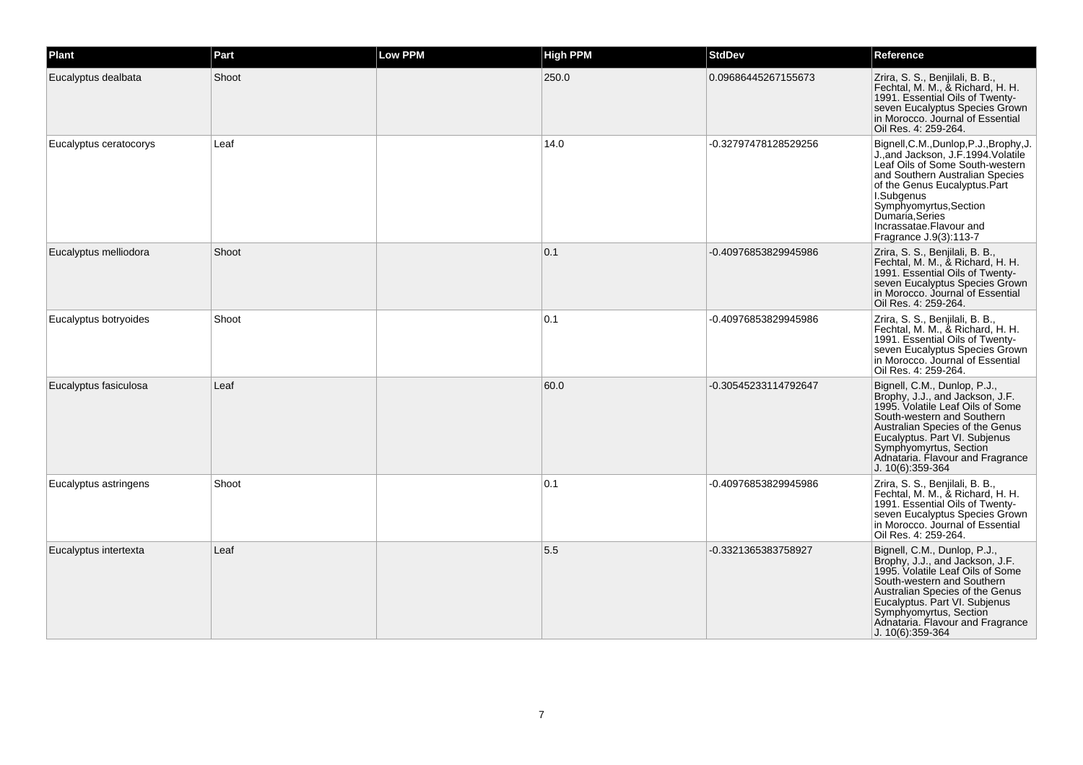| Plant                  | Part  | Low PPM | <b>High PPM</b> | <b>StdDev</b>        | Reference                                                                                                                                                                                                                                                                                     |
|------------------------|-------|---------|-----------------|----------------------|-----------------------------------------------------------------------------------------------------------------------------------------------------------------------------------------------------------------------------------------------------------------------------------------------|
| Eucalyptus dealbata    | Shoot |         | 250.0           | 0.09686445267155673  | Zrira, S. S., Benjilali, B. B.,<br>Fechtal, M. M., & Richard, H. H.<br>1991. Essential Oils of Twenty-<br>seven Eucalyptus Species Grown<br>in Morocco. Journal of Essential<br>Oil Res. 4: 259-264.                                                                                          |
| Eucalyptus ceratocorys | Leaf  |         | 14.0            | -0.32797478128529256 | Bignell,C.M.,Dunlop,P.J.,Brophy,J.<br>J.,and Jackson, J.F.1994.Volatile<br>Leaf Oils of Some South-western<br>and Southern Australian Species<br>of the Genus Eucalyptus.Part<br>I.Subgenus<br>Symphyomyrtus, Section<br>Dumaria, Series<br>Incrassatae.Flavour and<br>Fragrance J.9(3):113-7 |
| Eucalyptus melliodora  | Shoot |         | 0.1             | -0.40976853829945986 | Zrira, S. S., Benjilali, B. B.,<br>Fechtal, M. M., & Richard, H. H.<br>1991. Essential Oils of Twenty-<br>seven Eucalyptus Species Grown<br>in Morocco. Journal of Essential<br>Oil Res. 4: 259-264.                                                                                          |
| Eucalyptus botryoides  | Shoot |         | 0.1             | -0.40976853829945986 | Zrira, S. S., Benjilali, B. B.,<br>Fechtal, M. M., & Richard, H. H.<br>1991. Essential Oils of Twenty-<br>seven Eucalyptus Species Grown<br>in Morocco. Journal of Essential<br>Oil Res. 4: 259-264.                                                                                          |
| Eucalyptus fasiculosa  | Leaf  |         | 60.0            | -0.30545233114792647 | Bignell, C.M., Dunlop, P.J.,<br>Brophy, J.J., and Jackson, J.F.<br>1995. Volatile Leaf Oils of Some<br>South-western and Southern<br>Australian Species of the Genus<br>Eucalyptus. Part VI. Subjenus<br>Symphyomyrtus, Section<br>Adnataria. Flavour and Fragrance<br>J. 10(6):359-364       |
| Eucalyptus astringens  | Shoot |         | 0.1             | -0.40976853829945986 | Zrira, S. S., Benjilali, B. B.,<br>Fechtal, M. M., & Richard, H. H.<br>1991. Essential Oils of Twenty-<br>seven Eucalyptus Species Grown<br>in Morocco. Journal of Essential<br>Oil Res. 4: 259-264.                                                                                          |
| Eucalyptus intertexta  | Leaf  |         | 5.5             | -0.3321365383758927  | Bignell, C.M., Dunlop, P.J.,<br>Brophy, J.J., and Jackson, J.F.<br>1995. Volatile Leaf Oils of Some<br>South-western and Southern<br>Australian Species of the Genus<br>Eucalyptus. Part VI. Subjenus<br>Symphyomyrtus, Section<br>Adnataria. Flavour and Fragrance<br>J. 10(6):359-364       |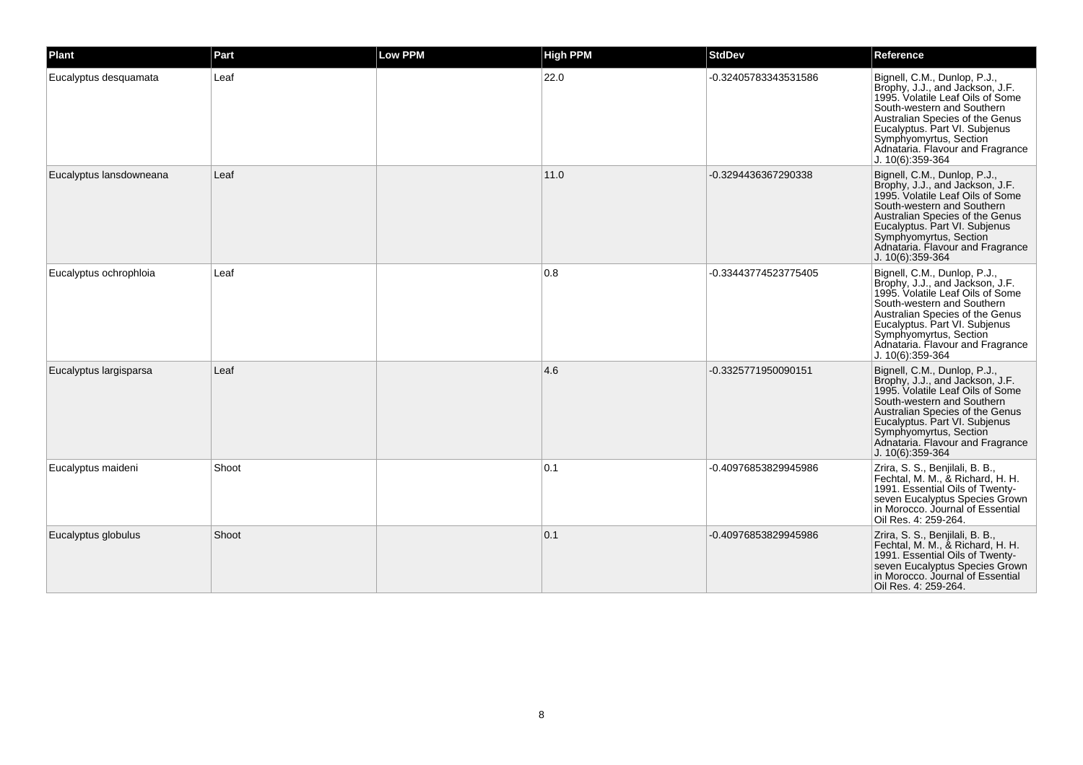| Plant                   | Part  | Low PPM | <b>High PPM</b> | <b>StdDev</b>        | Reference                                                                                                                                                                                                                                                                                 |
|-------------------------|-------|---------|-----------------|----------------------|-------------------------------------------------------------------------------------------------------------------------------------------------------------------------------------------------------------------------------------------------------------------------------------------|
| Eucalyptus desquamata   | Leaf  |         | 22.0            | -0.32405783343531586 | Bignell, C.M., Dunlop, P.J.,<br>Brophy, J.J., and Jackson, J.F.<br>1995. Volatile Leaf Oils of Some<br>South-western and Southern<br>Australian Species of the Genus<br>Eucalyptus. Part VI. Subjenus<br>Symphyomyrtus, Section<br>Adnataria. Flavour and Fragrance<br>J. 10(6):359-364   |
| Eucalyptus lansdowneana | Leaf  |         | 11.0            | -0.3294436367290338  | Bignell, C.M., Dunlop, P.J.,<br>Brophy, J.J., and Jackson, J.F.<br>1995. Volatile Leaf Oils of Some<br>South-western and Southern<br>Australian Species of the Genus<br>Eucalyptus. Part VI. Subjenus<br>Symphyomyrtus, Section<br>Adnataria. Flavour and Fragrance<br>J. 10(6):359-364   |
| Eucalyptus ochrophloia  | Leaf  |         | 0.8             | -0.33443774523775405 | Bignell, C.M., Dunlop, P.J.,<br>Brophy, J.J., and Jackson, J.F.<br>1995. Volatile Leaf Oils of Some<br>South-western and Southern<br>Australian Species of the Genus<br>Eucalyptus. Part VI. Subjenus<br>Symphyomyrtus, Section<br>Adnataria. Flavour and Fragrance<br>$J. 10(6):359-364$ |
| Eucalyptus largisparsa  | Leaf  |         | 4.6             | -0.3325771950090151  | Bignell, C.M., Dunlop, P.J.,<br>Brophy, J.J., and Jackson, J.F.<br>1995. Volatile Leaf Oils of Some<br>South-western and Southern<br>Australian Species of the Genus<br>Eucalyptus. Part VI. Subjenus<br>Symphyomyrtus, Section<br>Adnataria. Flavour and Fragrance<br>J. 10(6):359-364   |
| Eucalyptus maideni      | Shoot |         | 0.1             | -0.40976853829945986 | Zrira, S. S., Benjilali, B. B.,<br>Fechtal, M. M., & Richard, H. H.<br>1991. Essential Oils of Twenty-<br>seven Eucalyptus Species Grown<br>in Morocco. Journal of Essential<br>Oil Res. 4: 259-264.                                                                                      |
| Eucalyptus globulus     | Shoot |         | 0.1             | -0.40976853829945986 | Zrira, S. S., Benjilali, B. B.,<br>Fechtal, M. M., & Richard, H. H.<br>1991. Essential Oils of Twenty-<br>seven Eucalyptus Species Grown<br>in Morocco. Journal of Essential<br>Oil Res. 4: 259-264.                                                                                      |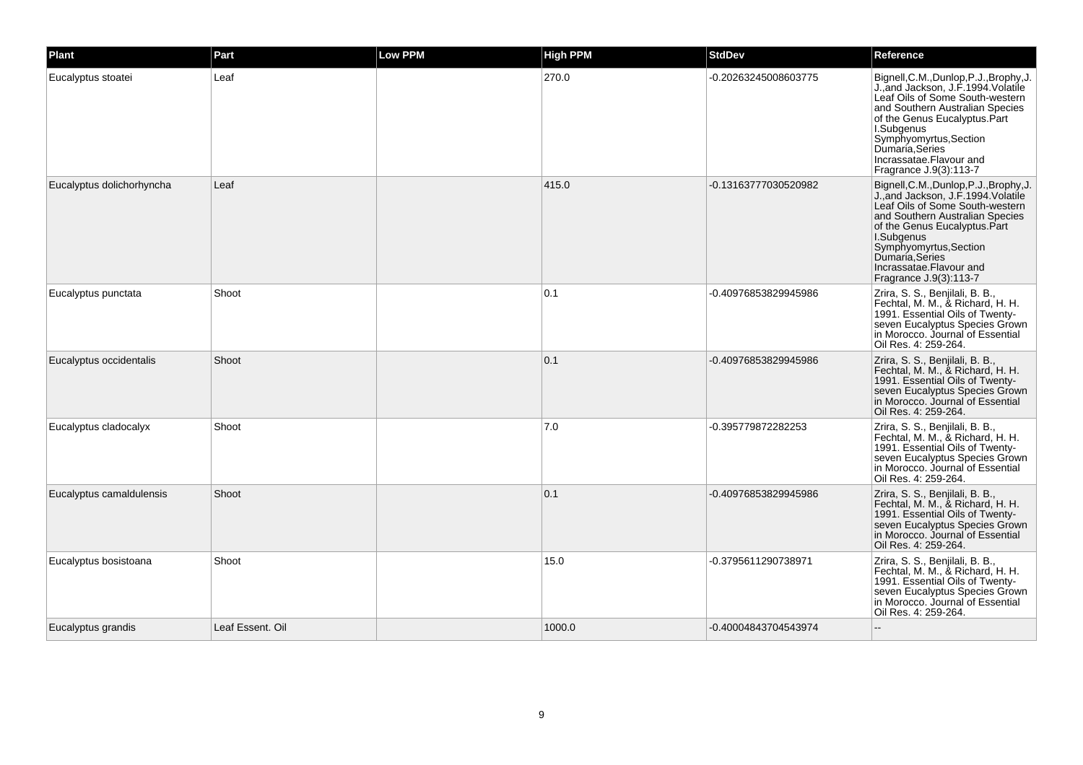| <b>Plant</b>              | Part             | <b>Low PPM</b> | <b>High PPM</b> | <b>StdDev</b>        | Reference                                                                                                                                                                                                                                                                                              |
|---------------------------|------------------|----------------|-----------------|----------------------|--------------------------------------------------------------------------------------------------------------------------------------------------------------------------------------------------------------------------------------------------------------------------------------------------------|
| Eucalyptus stoatei        | Leaf             |                | 270.0           | -0.20263245008603775 | Bignell, C.M., Dunlop, P.J., Brophy, J.<br>J., and Jackson, J.F. 1994. Volatile<br>Leaf Oils of Some South-western<br>and Southern Australian Species<br>of the Genus Eucalyptus.Part<br>I.Subgenus<br>Symphyomyrtus, Section<br>Dumaria, Series<br>Incrassatae. Flavour and<br>Fragrance J.9(3):113-7 |
| Eucalyptus dolichorhyncha | Leaf             |                | 415.0           | -0.13163777030520982 | Bignell, C.M., Dunlop, P.J., Brophy, J<br>J., and Jackson, J.F. 1994. Volatile<br>Leaf Oils of Some South-western<br>and Southern Australian Species<br>of the Genus Eucalyptus.Part<br>I.Subgenus<br>Symphyomyrtus, Section<br>Dumaria, Series<br>Incrassatae.Flavour and<br>Fragrance J.9(3):113-7   |
| Eucalyptus punctata       | Shoot            |                | 0.1             | -0.40976853829945986 | Zrira, S. S., Benjilali, B. B.,<br>Fechtal, M. M., & Richard, H. H.<br>1991. Essential Oils of Twenty-<br>seven Eucalyptus Species Grown<br>in Morocco. Journal of Essential<br>Oil Res. 4: 259-264.                                                                                                   |
| Eucalyptus occidentalis   | Shoot            |                | 0.1             | -0.40976853829945986 | Zrira, S. S., Benjilali, B. B.,<br>Fechtal, M. M., & Richard, H. H.<br>1991. Essential Oils of Twenty-<br>seven Eucalyptus Species Grown<br>in Morocco. Journal of Essential<br>Oil Res. 4: 259-264.                                                                                                   |
| Eucalyptus cladocalyx     | Shoot            |                | 7.0             | -0.395779872282253   | Zrira, S. S., Benjilali, B. B.,<br>Fechtal, M. M., & Richard, H. H.<br>1991. Essential Oils of Twenty-<br>seven Eucalyptus Species Grown<br>in Morocco. Journal of Essential<br>Oil Res. 4: 259-264.                                                                                                   |
| Eucalyptus camaldulensis  | Shoot            |                | 0.1             | -0.40976853829945986 | Zrira, S. S., Benjilali, B. B.,<br>Fechtal, M. M., & Richard, H. H.<br>1991. Essential Oils of Twenty-<br>seven Eucalyptus Species Grown<br>in Morocco. Journal of Essential<br>Oil Res. 4: 259-264.                                                                                                   |
| Eucalyptus bosistoana     | Shoot            |                | 15.0            | -0.3795611290738971  | Zrira, S. S., Benjilali, B. B.,<br>Fechtal, M. M., & Richard, H. H.<br>1991. Essential Oils of Twenty-<br>seven Eucalyptus Species Grown<br>in Morocco. Journal of Essential<br>Oil Res. 4: 259-264.                                                                                                   |
| Eucalyptus grandis        | Leaf Essent. Oil |                | 1000.0          | -0.40004843704543974 |                                                                                                                                                                                                                                                                                                        |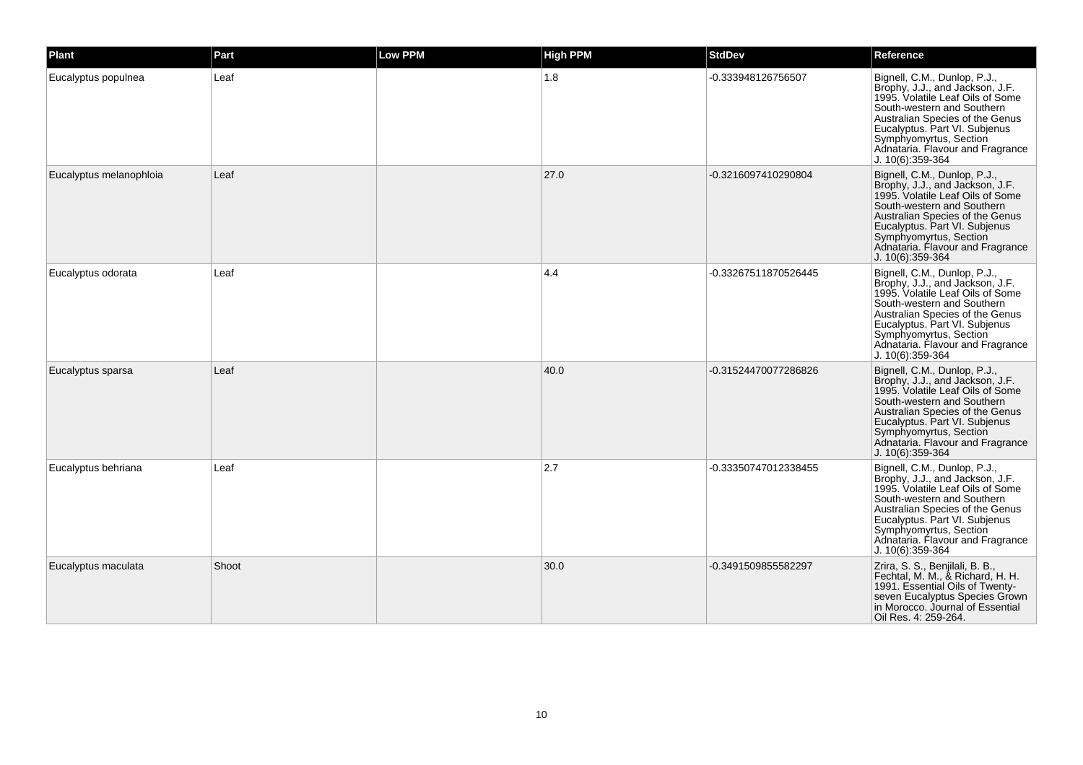| Plant                   | Part  | <b>Low PPM</b> | <b>High PPM</b> | <b>StdDev</b>        | Reference                                                                                                                                                                                                                                                                               |
|-------------------------|-------|----------------|-----------------|----------------------|-----------------------------------------------------------------------------------------------------------------------------------------------------------------------------------------------------------------------------------------------------------------------------------------|
| Eucalyptus populnea     | Leaf  |                | 1.8             | -0.333948126756507   | Bignell, C.M., Dunlop, P.J.,<br>Brophy, J.J., and Jackson, J.F.<br>1995. Volatile Leaf Oils of Some<br>South-western and Southern<br>Australian Species of the Genus<br>Eucalyptus. Part VI. Subjenus<br>Symphyomyrtus, Section<br>Adnataria. Flavour and Fragrance<br>J. 10(6):359-364 |
| Eucalyptus melanophloia | Leaf  |                | 27.0            | -0.3216097410290804  | Bignell, C.M., Dunlop, P.J.,<br>Brophy, J.J., and Jackson, J.F.<br>1995. Volatile Leaf Oils of Some<br>South-western and Southern<br>Australian Species of the Genus<br>Eucalyptus. Part VI. Subjenus<br>Symphyomyrtus, Section<br>Adnataria. Flavour and Fragrance<br>J. 10(6):359-364 |
| Eucalyptus odorata      | Leaf  |                | 4.4             | -0.33267511870526445 | Bignell, C.M., Dunlop, P.J.,<br>Brophy, J.J., and Jackson, J.F.<br>1995. Volatile Leaf Oils of Some<br>South-western and Southern<br>Australian Species of the Genus<br>Eucalyptus. Part VI. Subjenus<br>Symphyomyrtus, Section<br>Adnataria. Flavour and Fragrance<br>J. 10(6):359-364 |
| Eucalyptus sparsa       | Leaf  |                | 40.0            | -0.31524470077286826 | Bignell, C.M., Dunlop, P.J.,<br>Brophy, J.J., and Jackson, J.F.<br>1995. Volatile Leaf Oils of Some<br>South-western and Southern<br>Australian Species of the Genus<br>Eucalyptus. Part VI. Subjenus<br>Symphyomyrtus, Section<br>Adnataria. Flavour and Fragrance<br>J. 10(6):359-364 |
| Eucalyptus behriana     | Leaf  |                | 2.7             | -0.33350747012338455 | Bignell, C.M., Dunlop, P.J.,<br>Brophy, J.J., and Jackson, J.F.<br>1995. Volatile Leaf Oils of Some<br>South-western and Southern<br>Australian Species of the Genus<br>Eucalyptus. Part VI. Subjenus<br>Symphyomyrtus, Section<br>Adnataria. Flavour and Fragrance<br>J. 10(6):359-364 |
| Eucalyptus maculata     | Shoot |                | 30.0            | -0.3491509855582297  | Zrira, S. S., Benjilali, B. B.,<br>Fechtal, M. M., & Richard, H. H.<br>1991. Essential Oils of Twenty-<br>seven Eucalyptus Species Grown<br>in Morocco. Journal of Essential<br>Oil Res. 4: 259-264.                                                                                    |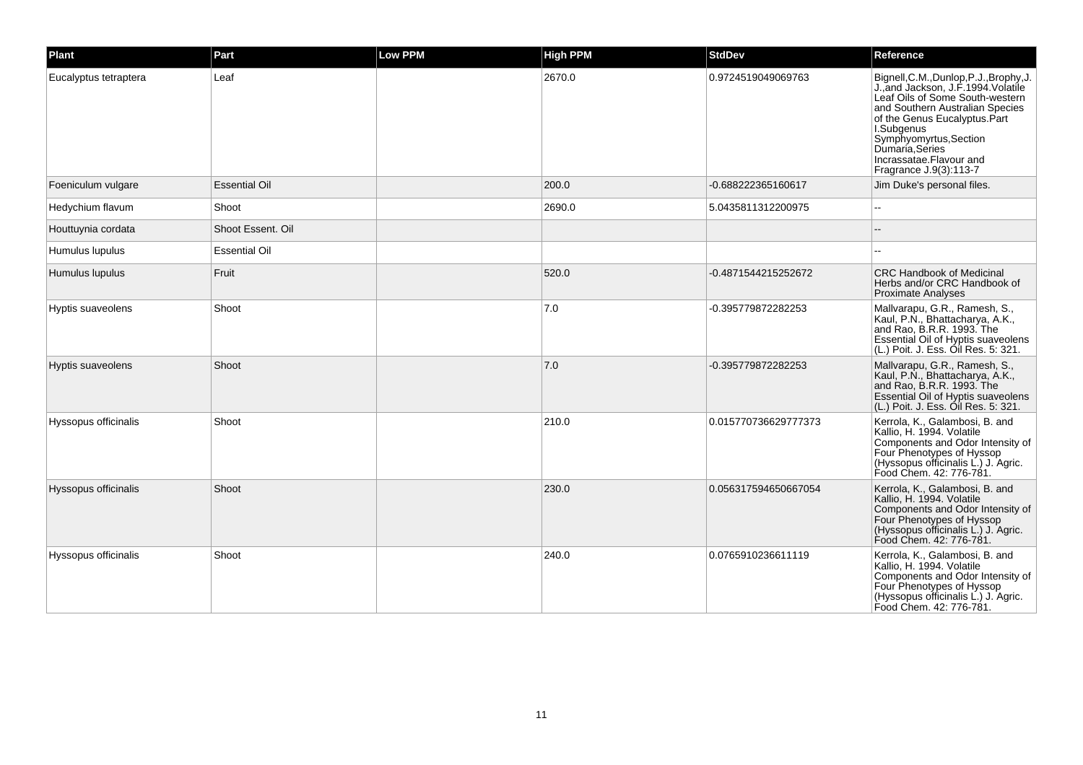| Plant                 | Part                 | <b>Low PPM</b> | <b>High PPM</b> | <b>StdDev</b>        | Reference                                                                                                                                                                                                                                                                                             |
|-----------------------|----------------------|----------------|-----------------|----------------------|-------------------------------------------------------------------------------------------------------------------------------------------------------------------------------------------------------------------------------------------------------------------------------------------------------|
| Eucalyptus tetraptera | Leaf                 |                | 2670.0          | 0.9724519049069763   | Bignell, C.M., Dunlop, P.J., Brophy, J.<br>J., and Jackson, J.F. 1994. Volatile<br>Leaf Oils of Some South-western<br>and Southern Australian Species<br>of the Genus Eucalyptus.Part<br>I.Subgenus<br>Symphyomyrtus, Section<br>Dumaria, Series<br>Incrassatae.Flavour and<br>Fragrance J.9(3):113-7 |
| Foeniculum vulgare    | <b>Essential Oil</b> |                | 200.0           | -0.688222365160617   | Jim Duke's personal files.                                                                                                                                                                                                                                                                            |
| Hedychium flavum      | Shoot                |                | 2690.0          | 5.0435811312200975   |                                                                                                                                                                                                                                                                                                       |
| Houttuynia cordata    | Shoot Essent, Oil    |                |                 |                      |                                                                                                                                                                                                                                                                                                       |
| Humulus lupulus       | Essential Oil        |                |                 |                      |                                                                                                                                                                                                                                                                                                       |
| Humulus lupulus       | Fruit                |                | 520.0           | -0.4871544215252672  | <b>CRC Handbook of Medicinal</b><br>Herbs and/or CRC Handbook of<br><b>Proximate Analyses</b>                                                                                                                                                                                                         |
| Hyptis suaveolens     | Shoot                |                | 7.0             | -0.395779872282253   | Mallvarapu, G.R., Ramesh, S.,<br>Kaul, P.N., Bhattacharya, A.K.,<br>and Rao, B.R.R. 1993. The<br>Essential Oil of Hyptis suaveolens<br>(L.) Poit. J. Ess. Oil Res. 5: 321.                                                                                                                            |
| Hyptis suaveolens     | Shoot                |                | 7.0             | -0.395779872282253   | Mallvarapu, G.R., Ramesh, S.,<br>Kaul, P.N., Bhattacharya, A.K.,<br>and Rao, B.R.R. 1993. The<br>Essential Oil of Hyptis suaveolens<br>(L.) Poit. J. Ess. Oil Res. 5: 321.                                                                                                                            |
| Hyssopus officinalis  | Shoot                |                | 210.0           | 0.015770736629777373 | Kerrola, K., Galambosi, B. and<br>Kallio, H. 1994. Volatile<br>Components and Odor Intensity of<br>Four Phenotypes of Hyssop<br>(Hyssopus officinalis L.) J. Agric.<br>Food Chem. 42: 776-781.                                                                                                        |
| Hyssopus officinalis  | Shoot                |                | 230.0           | 0.056317594650667054 | Kerrola, K., Galambosi, B. and<br>Kallio, H. 1994. Volatile<br>Components and Odor Intensity of<br>Four Phenotypes of Hyssop<br>(Hyssopus officinalis L.) J. Agric.<br>Food Chem. 42: 776-781.                                                                                                        |
| Hyssopus officinalis  | Shoot                |                | 240.0           | 0.0765910236611119   | Kerrola, K., Galambosi, B. and<br>Kallio, H. 1994. Volatile<br>Components and Odor Intensity of<br>Four Phenotypes of Hyssop<br>(Hyssopus officinalis L.) J. Agric.<br>Food Chem. 42: 776-781.                                                                                                        |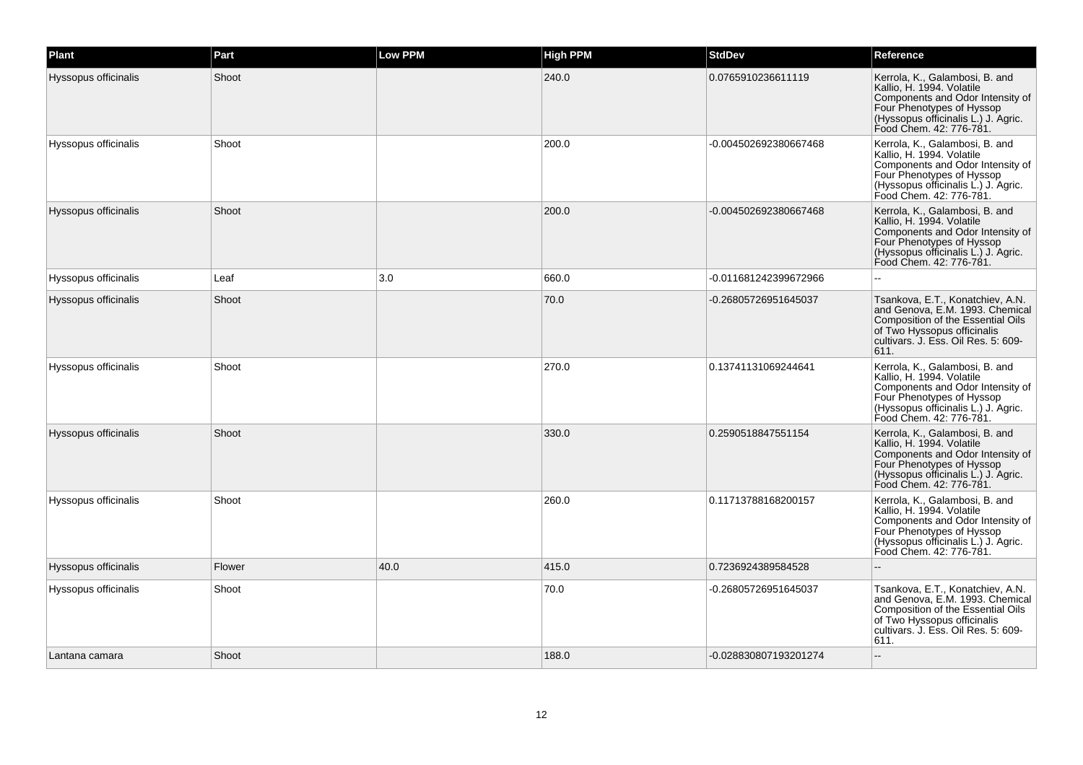| Plant                | Part   | <b>Low PPM</b> | <b>High PPM</b> | <b>StdDev</b>         | Reference                                                                                                                                                                                      |
|----------------------|--------|----------------|-----------------|-----------------------|------------------------------------------------------------------------------------------------------------------------------------------------------------------------------------------------|
| Hyssopus officinalis | Shoot  |                | 240.0           | 0.0765910236611119    | Kerrola, K., Galambosi, B. and<br>Kallio, H. 1994. Volatile<br>Components and Odor Intensity of<br>Four Phenotypes of Hyssop<br>(Hyssopus officinalis L.) J. Agric.<br>Food Chem. 42: 776-781. |
| Hyssopus officinalis | Shoot  |                | 200.0           | -0.004502692380667468 | Kerrola, K., Galambosi, B. and<br>Kallio, H. 1994. Volatile<br>Components and Odor Intensity of<br>Four Phenotypes of Hyssop<br>(Hyssopus officinalis L.) J. Agric.<br>Food Chem. 42: 776-781. |
| Hyssopus officinalis | Shoot  |                | 200.0           | -0.004502692380667468 | Kerrola, K., Galambosi, B. and<br>Kallio, H. 1994. Volatile<br>Components and Odor Intensity of<br>Four Phenotypes of Hyssop<br>(Hyssopus officinalis L.) J. Agric.<br>Food Chem. 42: 776-781. |
| Hyssopus officinalis | Leaf   | 3.0            | 660.0           | -0.011681242399672966 |                                                                                                                                                                                                |
| Hyssopus officinalis | Shoot  |                | 70.0            | -0.26805726951645037  | Tsankova, E.T., Konatchiev, A.N.<br>and Genova, E.M. 1993. Chemical<br>Composition of the Essential Oils<br>of Two Hyssopus officinalis<br>cultivars. J. Ess. Oil Res. 5: 609-<br>611.         |
| Hyssopus officinalis | Shoot  |                | 270.0           | 0.13741131069244641   | Kerrola, K., Galambosi, B. and<br>Kallio, H. 1994. Volatile<br>Components and Odor Intensity of<br>Four Phenotypes of Hyssop<br>(Hyssopus officinalis L.) J. Agric.<br>Food Chem. 42: 776-781. |
| Hyssopus officinalis | Shoot  |                | 330.0           | 0.2590518847551154    | Kerrola, K., Galambosi, B. and<br>Kallio, H. 1994. Volatile<br>Components and Odor Intensity of<br>Four Phenotypes of Hyssop<br>(Hyssopus officinalis L.) J. Agric.<br>Food Chem. 42: 776-781. |
| Hyssopus officinalis | Shoot  |                | 260.0           | 0.11713788168200157   | Kerrola, K., Galambosi, B. and<br>Kallio, H. 1994. Volatile<br>Components and Odor Intensity of<br>Four Phenotypes of Hyssop<br>(Hyssopus officinalis L.) J. Agric.<br>Food Chem. 42: 776-781. |
| Hyssopus officinalis | Flower | 40.0           | 415.0           | 0.7236924389584528    |                                                                                                                                                                                                |
| Hyssopus officinalis | Shoot  |                | 70.0            | -0.26805726951645037  | Tsankova, E.T., Konatchiev, A.N.<br>and Genova, E.M. 1993. Chemical<br>Composition of the Essential Oils<br>of Two Hyssopus officinalis<br>cultivars. J. Ess. Oil Res. 5: 609-<br>611.         |
| Lantana camara       | Shoot  |                | 188.0           | -0.028830807193201274 |                                                                                                                                                                                                |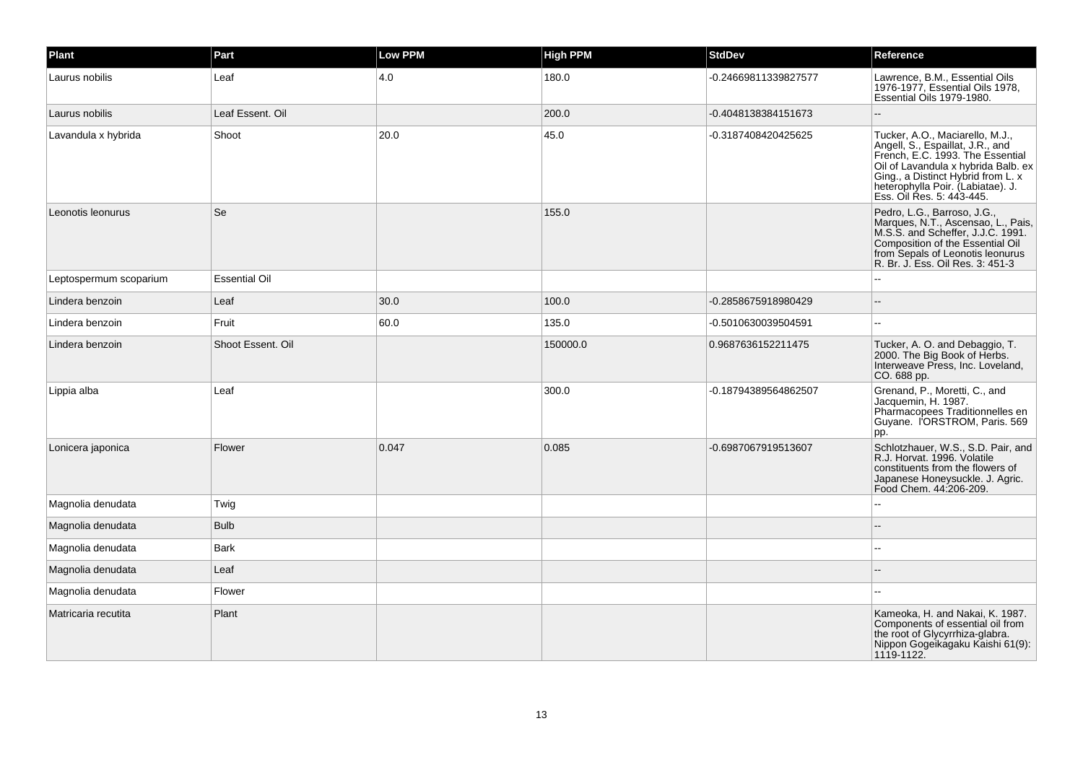| Plant                  | Part                 | Low PPM | <b>High PPM</b> | <b>StdDev</b>        | Reference                                                                                                                                                                                                                                              |
|------------------------|----------------------|---------|-----------------|----------------------|--------------------------------------------------------------------------------------------------------------------------------------------------------------------------------------------------------------------------------------------------------|
| Laurus nobilis         | Leaf                 | 4.0     | 180.0           | -0.24669811339827577 | Lawrence, B.M., Essential Oils<br>1976-1977, Essential Oils 1978,<br>Essential Oils 1979-1980.                                                                                                                                                         |
| Laurus nobilis         | Leaf Essent, Oil     |         | 200.0           | -0.4048138384151673  |                                                                                                                                                                                                                                                        |
| Lavandula x hybrida    | Shoot                | 20.0    | 45.0            | -0.3187408420425625  | Tucker, A.O., Maciarello, M.J.,<br>Angell, S., Espaillat, J.R., and<br>French, E.C. 1993. The Essential<br>Oil of Lavandula x hybrida Balb, ex<br>Ging., a Distinct Hybrid from L. x<br>heterophylla Poir. (Labiatae). J.<br>Ess. Oil Res. 5: 443-445. |
| Leonotis leonurus      | Se                   |         | 155.0           |                      | Pedro, L.G., Barroso, J.G.,<br>Marques, N.T., Ascensao, L., Pais,<br>M.S.S. and Scheffer, J.J.C. 1991.<br>Composition of the Essential Oil<br>from Sepals of Leonotis leonurus<br>R. Br. J. Ess. Oil Res. 3: 451-3                                     |
| Leptospermum scoparium | <b>Essential Oil</b> |         |                 |                      |                                                                                                                                                                                                                                                        |
| Lindera benzoin        | Leaf                 | 30.0    | 100.0           | -0.2858675918980429  |                                                                                                                                                                                                                                                        |
| Lindera benzoin        | Fruit                | 60.0    | 135.0           | -0.5010630039504591  |                                                                                                                                                                                                                                                        |
| Lindera benzoin        | Shoot Essent, Oil    |         | 150000.0        | 0.9687636152211475   | Tucker, A. O. and Debaggio, T.<br>2000. The Big Book of Herbs.<br>Interweave Press, Inc. Loveland,<br>CO. 688 pp.                                                                                                                                      |
| Lippia alba            | Leaf                 |         | 300.0           | -0.18794389564862507 | Grenand, P., Moretti, C., and<br>Jacquemin, H. 1987.<br>Pharmacopees Traditionnelles en<br>Guyane. I'ORSTROM, Paris. 569<br>pp.                                                                                                                        |
| Lonicera japonica      | Flower               | 0.047   | 0.085           | -0.6987067919513607  | Schlotzhauer, W.S., S.D. Pair, and<br>R.J. Horvat. 1996. Volatile<br>constituents from the flowers of<br>Japanese Honeysuckle. J. Agric.<br>Food Chem. 44:206-209.                                                                                     |
| Magnolia denudata      | Twig                 |         |                 |                      |                                                                                                                                                                                                                                                        |
| Magnolia denudata      | <b>Bulb</b>          |         |                 |                      |                                                                                                                                                                                                                                                        |
| Magnolia denudata      | <b>Bark</b>          |         |                 |                      |                                                                                                                                                                                                                                                        |
| Magnolia denudata      | Leaf                 |         |                 |                      |                                                                                                                                                                                                                                                        |
| Magnolia denudata      | Flower               |         |                 |                      |                                                                                                                                                                                                                                                        |
| Matricaria recutita    | Plant                |         |                 |                      | Kameoka, H. and Nakai, K. 1987.<br>Components of essential oil from<br>the root of Glycyrrhiza-glabra.<br>Nippon Gogeikagaku Kaishi 61(9):<br>1119-1122.                                                                                               |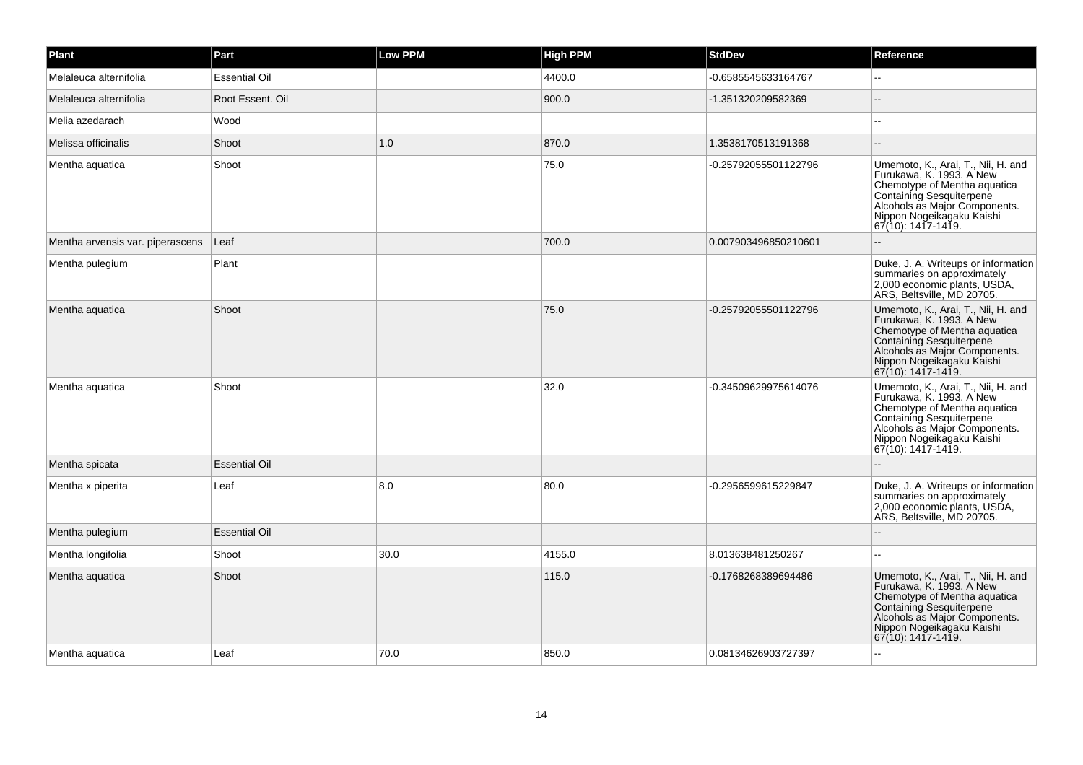| Plant                            | Part                 | <b>Low PPM</b> | <b>High PPM</b> | <b>StdDev</b>        | Reference                                                                                                                                                                                                           |
|----------------------------------|----------------------|----------------|-----------------|----------------------|---------------------------------------------------------------------------------------------------------------------------------------------------------------------------------------------------------------------|
| Melaleuca alternifolia           | <b>Essential Oil</b> |                | 4400.0          | -0.6585545633164767  |                                                                                                                                                                                                                     |
| Melaleuca alternifolia           | Root Essent, Oil     |                | 900.0           | -1.351320209582369   | $\mathbf{L}$                                                                                                                                                                                                        |
| Melia azedarach                  | Wood                 |                |                 |                      | $\sim$                                                                                                                                                                                                              |
| Melissa officinalis              | Shoot                | 1.0            | 870.0           | 1.3538170513191368   |                                                                                                                                                                                                                     |
| Mentha aquatica                  | Shoot                |                | 75.0            | -0.25792055501122796 | Umemoto, K., Arai, T., Nii, H. and<br>Furukawa, K. 1993. A New<br>Chemotype of Mentha aquatica<br>Containing Sesquiterpene<br>Alcohols as Major Components.<br>Nippon Nogeikagaku Kaishi<br>$ 67(10): 1417 - 1419.$ |
| Mentha arvensis var. piperascens | Leaf                 |                | 700.0           | 0.007903496850210601 |                                                                                                                                                                                                                     |
| Mentha pulegium                  | Plant                |                |                 |                      | Duke, J. A. Writeups or information<br>summaries on approximately<br>2,000 economic plants, USDA,<br>ARS, Beltsville, MD 20705.                                                                                     |
| Mentha aquatica                  | Shoot                |                | 75.0            | -0.25792055501122796 | Umemoto, K., Arai, T., Nii, H. and<br>Furukawa, K. 1993. A New<br>Chemotype of Mentha aquatica<br>Containing Sesquiterpene<br>Alcohols as Major Components.<br>Nippon Nogeikagaku Kaishi<br>67(10): 1417-1419.      |
| Mentha aquatica                  | Shoot                |                | 32.0            | -0.34509629975614076 | Umemoto, K., Arai, T., Nii, H. and<br>Furukawa, K. 1993. A New<br>Chemotype of Mentha aquatica<br>Containing Sesquiterpene<br>Alcohols as Major Components.<br>Nippon Nogeikagaku Kaishi<br>67(10): 1417-1419.      |
| Mentha spicata                   | <b>Essential Oil</b> |                |                 |                      | ă.                                                                                                                                                                                                                  |
| Mentha x piperita                | Leaf                 | 8.0            | 80.0            | -0.2956599615229847  | Duke, J. A. Writeups or information<br>summaries on approximately<br>2,000 economic plants, USDA,<br>ARS, Beltsville, MD 20705.                                                                                     |
| Mentha pulegium                  | <b>Essential Oil</b> |                |                 |                      |                                                                                                                                                                                                                     |
| Mentha longifolia                | Shoot                | 30.0           | 4155.0          | 8.013638481250267    |                                                                                                                                                                                                                     |
| Mentha aquatica                  | Shoot                |                | 115.0           | -0.1768268389694486  | Umemoto, K., Arai, T., Nii, H. and<br>Furukawa, K. 1993. A New<br>Chemotype of Mentha aquatica<br>Containing Sesquiterpene<br>Alcohols as Major Components.<br>Nippon Nogeikagaku Kaishi<br>67(10): 1417-1419.      |
| Mentha aquatica                  | Leaf                 | 70.0           | 850.0           | 0.08134626903727397  |                                                                                                                                                                                                                     |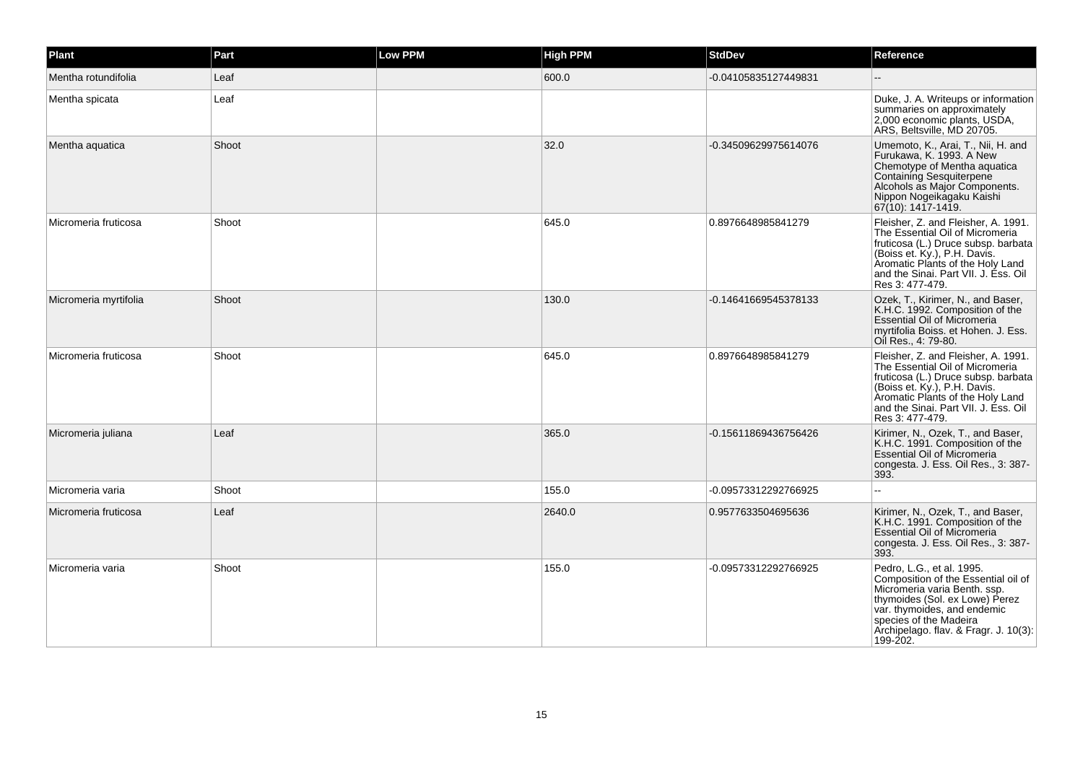| Plant                 | Part  | Low PPM | <b>High PPM</b> | <b>StdDev</b>        | Reference                                                                                                                                                                                                                                        |
|-----------------------|-------|---------|-----------------|----------------------|--------------------------------------------------------------------------------------------------------------------------------------------------------------------------------------------------------------------------------------------------|
| Mentha rotundifolia   | Leaf  |         | 600.0           | -0.04105835127449831 |                                                                                                                                                                                                                                                  |
| Mentha spicata        | Leaf  |         |                 |                      | Duke, J. A. Writeups or information<br>summaries on approximately<br>2,000 economic plants, USDA,<br>ARS, Beltsville, MD 20705.                                                                                                                  |
| Mentha aquatica       | Shoot |         | 32.0            | -0.34509629975614076 | Umemoto, K., Arai, T., Nii, H. and<br>Furukawa, K. 1993. A New<br>Chemotype of Mentha aquatica<br>Containing Sesquiterpene<br>Alcohols as Major Components.<br>Nippon Nogeikagaku Kaishi<br>67(10): 1417-1419.                                   |
| Micromeria fruticosa  | Shoot |         | 645.0           | 0.8976648985841279   | Fleisher, Z. and Fleisher, A. 1991.<br>The Essential Oil of Micromeria<br>fruticosa (L.) Druce subsp. barbata<br>(Boiss et. Ky.), P.H. Davis.<br>Aromatic Plants of the Holy Land<br>and the Sinai. Part VII. J. Ess. Oil<br>Res 3: 477-479.     |
| Micromeria myrtifolia | Shoot |         | 130.0           | -0.14641669545378133 | Ozek, T., Kirimer, N., and Baser,<br>K.H.C. 1992. Composition of the<br>Essential Oil of Micromeria<br>myrtifolia Boiss. et Hohen. J. Ess.<br>Oil Res., 4: 79-80.                                                                                |
| Micromeria fruticosa  | Shoot |         | 645.0           | 0.8976648985841279   | Fleisher, Z. and Fleisher, A. 1991.<br>The Essential Oil of Micromeria<br>fruticosa (L.) Druce subsp. barbata<br>(Boiss et. Ky.), P.H. Davis.<br>Aromatic Plants of the Holy Land<br>and the Sinai. Part VII. J. Ess. Oil<br>Res 3: 477-479.     |
| Micromeria juliana    | Leaf  |         | 365.0           | -0.15611869436756426 | Kirimer, N., Ozek, T., and Baser,<br>K.H.C. 1991. Composition of the<br>Essential Oil of Micromeria<br>congesta. J. Ess. Oil Res., 3: 387-<br>393.                                                                                               |
| Micromeria varia      | Shoot |         | 155.0           | -0.09573312292766925 |                                                                                                                                                                                                                                                  |
| Micromeria fruticosa  | Leaf  |         | 2640.0          | 0.9577633504695636   | Kirimer, N., Ozek, T., and Baser,<br>K.H.C. 1991. Composition of the<br><b>Essential Oil of Micromeria</b><br>congesta. J. Ess. Oil Res., 3: 387-<br>393.                                                                                        |
| Micromeria varia      | Shoot |         | 155.0           | -0.09573312292766925 | Pedro, L.G., et al. 1995.<br>Composition of the Essential oil of<br>Micromeria varia Benth. ssp.<br>thymoides (Sol. ex Lowe) Perez<br>var. thymoides, and endemic<br>species of the Madeira<br>Archipelago. flav. & Fragr. J. 10(3):<br>199-202. |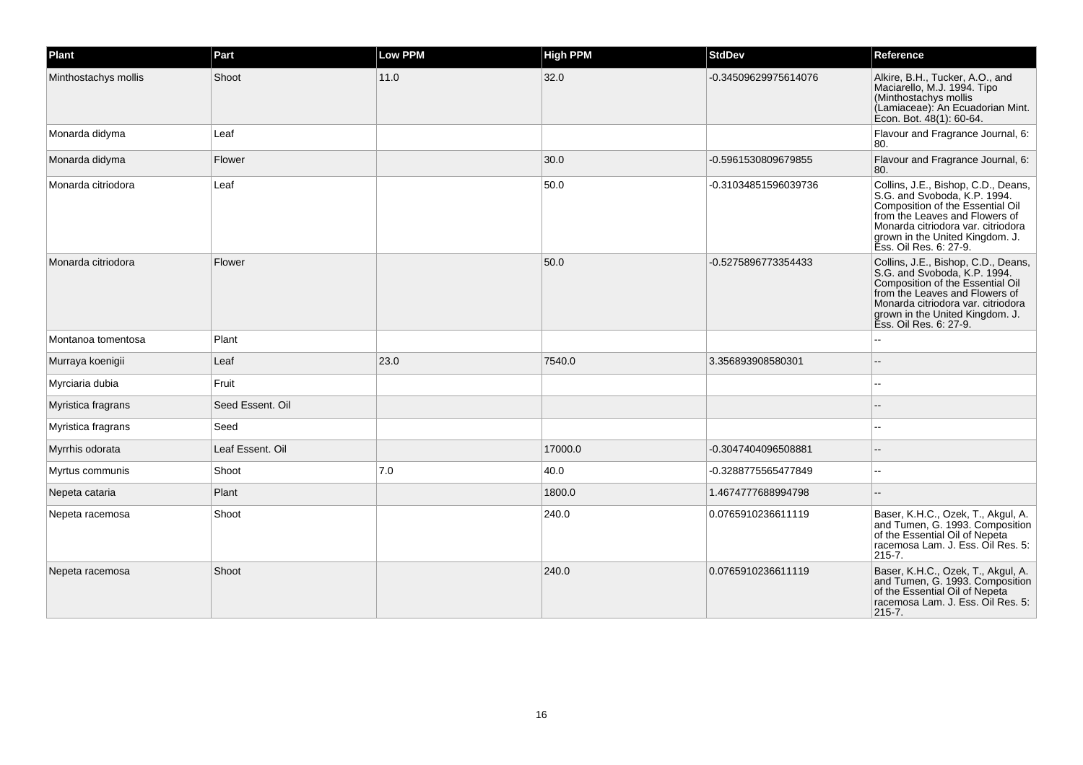| <b>Plant</b>         | Part             | Low PPM | <b>High PPM</b> | <b>StdDev</b>        | Reference                                                                                                                                                                                                                                    |
|----------------------|------------------|---------|-----------------|----------------------|----------------------------------------------------------------------------------------------------------------------------------------------------------------------------------------------------------------------------------------------|
| Minthostachys mollis | Shoot            | 11.0    | 32.0            | -0.34509629975614076 | Alkire, B.H., Tucker, A.O., and<br>Maciarello, M.J. 1994. Tipo<br>(Minthostachys mollis<br>(Lamiaceae): An Ecuadorian Mint.<br>Econ. Bot. 48(1): 60-64.                                                                                      |
| Monarda didyma       | Leaf             |         |                 |                      | Flavour and Fragrance Journal, 6:<br>80.                                                                                                                                                                                                     |
| Monarda didyma       | Flower           |         | 30.0            | -0.5961530809679855  | Flavour and Fragrance Journal, 6:<br>80.                                                                                                                                                                                                     |
| Monarda citriodora   | Leaf             |         | 50.0            | -0.31034851596039736 | Collins, J.E., Bishop, C.D., Deans,<br>S.G. and Svoboda, K.P. 1994.<br>Composition of the Essential Oil<br>from the Leaves and Flowers of<br>Monarda citriodora var. citriodora<br>grown in the United Kingdom. J.<br>Ess. Oil Res. 6: 27-9. |
| Monarda citriodora   | Flower           |         | 50.0            | -0.5275896773354433  | Collins, J.E., Bishop, C.D., Deans,<br>S.G. and Svoboda, K.P. 1994.<br>Composition of the Essential Oil<br>from the Leaves and Flowers of<br>Monarda citriodora var. citriodora<br>grown in the United Kingdom. J.<br>Ess. Oil Res. 6: 27-9. |
| Montanoa tomentosa   | Plant            |         |                 |                      |                                                                                                                                                                                                                                              |
| Murraya koenigii     | Leaf             | 23.0    | 7540.0          | 3.356893908580301    |                                                                                                                                                                                                                                              |
| Myrciaria dubia      | Fruit            |         |                 |                      | --                                                                                                                                                                                                                                           |
| Myristica fragrans   | Seed Essent. Oil |         |                 |                      |                                                                                                                                                                                                                                              |
| Myristica fragrans   | Seed             |         |                 |                      | $-1$                                                                                                                                                                                                                                         |
| Myrrhis odorata      | Leaf Essent. Oil |         | 17000.0         | -0.3047404096508881  |                                                                                                                                                                                                                                              |
| Myrtus communis      | Shoot            | 7.0     | 40.0            | -0.3288775565477849  |                                                                                                                                                                                                                                              |
| Nepeta cataria       | Plant            |         | 1800.0          | 1.4674777688994798   |                                                                                                                                                                                                                                              |
| Nepeta racemosa      | Shoot            |         | 240.0           | 0.0765910236611119   | Baser, K.H.C., Ozek, T., Akgul, A.<br>and Tumen, G. 1993. Composition<br>of the Essential Oil of Nepeta<br>racemosa Lam. J. Ess. Oil Res. 5:<br>215-7.                                                                                       |
| Nepeta racemosa      | Shoot            |         | 240.0           | 0.0765910236611119   | Baser, K.H.C., Ozek, T., Akgul, A.<br>and Tumen, G. 1993. Composition<br>of the Essential Oil of Nepeta<br>racemosa Lam. J. Ess. Oil Res. 5:<br>$215 - 7.$                                                                                   |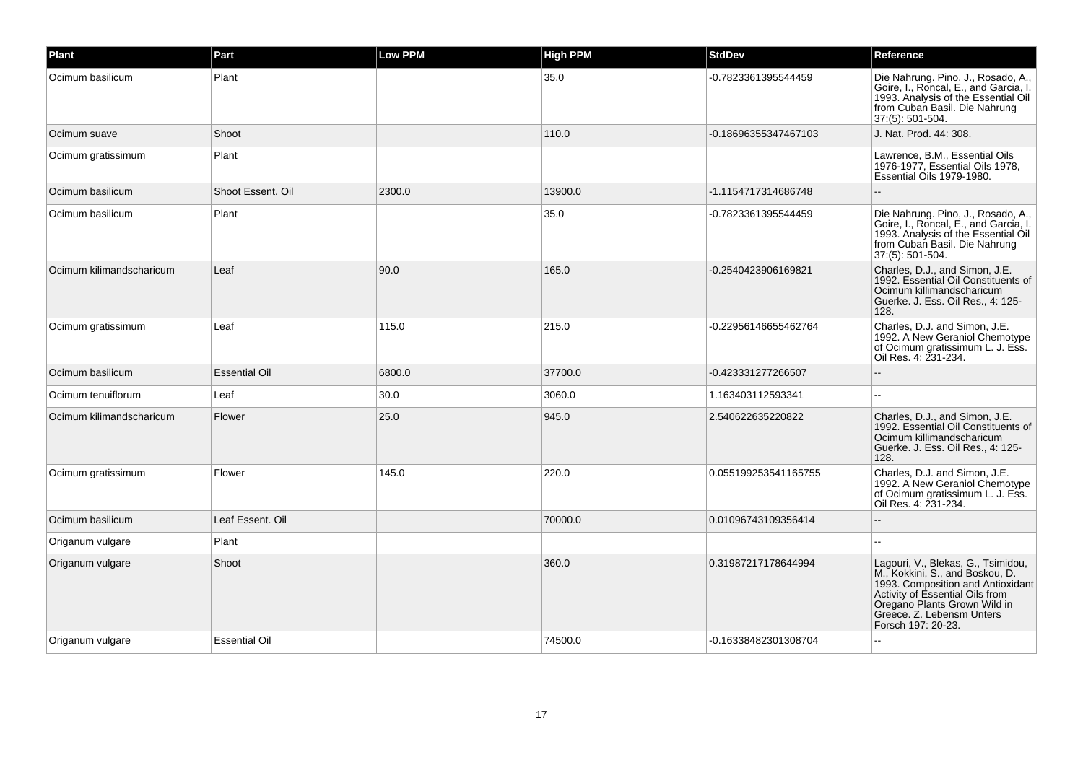| Plant                    | Part                 | Low PPM | <b>High PPM</b> | <b>StdDev</b>        | Reference                                                                                                                                                                                                                        |
|--------------------------|----------------------|---------|-----------------|----------------------|----------------------------------------------------------------------------------------------------------------------------------------------------------------------------------------------------------------------------------|
| Ocimum basilicum         | Plant                |         | 35.0            | -0.7823361395544459  | Die Nahrung. Pino, J., Rosado, A.,<br>Goire, I., Roncal, E., and Garcia, I.<br>1993. Analysis of the Essential Oil<br>from Cuban Basil. Die Nahrung<br>37:(5): 501-504.                                                          |
| Ocimum suave             | Shoot                |         | 110.0           | -0.18696355347467103 | J. Nat. Prod. 44: 308.                                                                                                                                                                                                           |
| Ocimum gratissimum       | Plant                |         |                 |                      | Lawrence, B.M., Essential Oils<br>1976-1977, Essential Oils 1978,<br>Essential Oils 1979-1980.                                                                                                                                   |
| Ocimum basilicum         | Shoot Essent. Oil    | 2300.0  | 13900.0         | -1.1154717314686748  |                                                                                                                                                                                                                                  |
| Ocimum basilicum         | Plant                |         | 35.0            | -0.7823361395544459  | Die Nahrung. Pino, J., Rosado, A.,<br>Goire, I., Roncal, E., and Garcia, I.<br>1993. Analysis of the Essential Oil<br>from Cuban Basil. Die Nahrung<br>37:(5): 501-504.                                                          |
| Ocimum kilimandscharicum | Leaf                 | 90.0    | 165.0           | -0.2540423906169821  | Charles, D.J., and Simon, J.E.<br>1992. Essential Oil Constituents of<br>Ocimum killimandscharicum<br>Guerke. J. Ess. Oil Res., 4: 125-<br>128.                                                                                  |
| Ocimum gratissimum       | Leaf                 | 115.0   | 215.0           | -0.22956146655462764 | Charles, D.J. and Simon, J.E.<br>1992. A New Geraniol Chemotype<br>of Ocimum gratissimum L. J. Ess.<br>Oil Res. 4: 231-234.                                                                                                      |
| Ocimum basilicum         | <b>Essential Oil</b> | 6800.0  | 37700.0         | -0.423331277266507   |                                                                                                                                                                                                                                  |
| Ocimum tenuiflorum       | Leaf                 | 30.0    | 3060.0          | 1.163403112593341    |                                                                                                                                                                                                                                  |
| Ocimum kilimandscharicum | Flower               | 25.0    | 945.0           | 2.540622635220822    | Charles, D.J., and Simon, J.E.<br>1992. Essential Oil Constituents of<br>Ocimum killimandscharicum<br>Guerke. J. Ess. Oil Res., 4: 125-<br>128.                                                                                  |
| Ocimum gratissimum       | Flower               | 145.0   | 220.0           | 0.055199253541165755 | Charles, D.J. and Simon, J.E.<br>1992. A New Geraniol Chemotype<br>of Ocimum gratissimum L. J. Ess.<br>Oil Res. 4: 231-234.                                                                                                      |
| Ocimum basilicum         | Leaf Essent, Oil     |         | 70000.0         | 0.01096743109356414  |                                                                                                                                                                                                                                  |
| Origanum vulgare         | Plant                |         |                 |                      |                                                                                                                                                                                                                                  |
| Origanum vulgare         | Shoot                |         | 360.0           | 0.31987217178644994  | Lagouri, V., Blekas, G., Tsimidou,<br>M., Kokkini, S., and Boskou, D.<br>1993. Composition and Antioxidant<br>Activity of Essential Oils from<br>Oregano Plants Grown Wild in<br>Greece. Z. Lebensm Unters<br>Forsch 197: 20-23. |
| Origanum vulgare         | <b>Essential Oil</b> |         | 74500.0         | -0.16338482301308704 |                                                                                                                                                                                                                                  |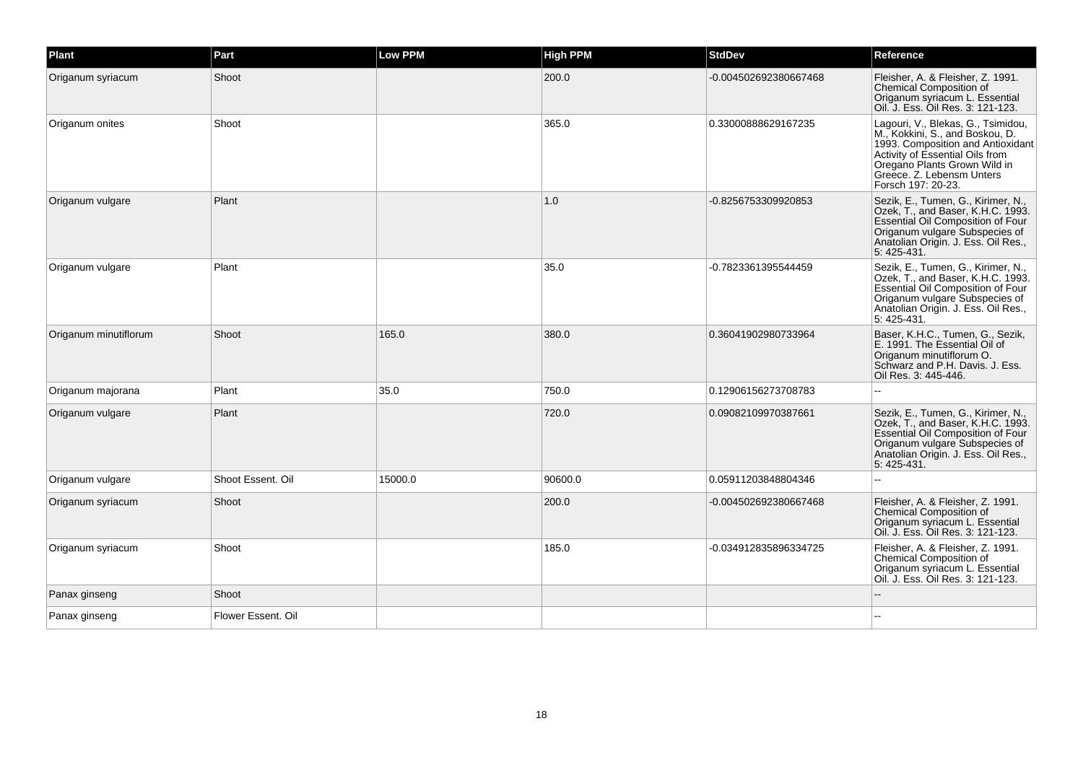| Plant                 | Part               | <b>Low PPM</b> | <b>High PPM</b> | <b>StdDev</b>         | Reference                                                                                                                                                                                                                        |
|-----------------------|--------------------|----------------|-----------------|-----------------------|----------------------------------------------------------------------------------------------------------------------------------------------------------------------------------------------------------------------------------|
| Origanum syriacum     | Shoot              |                | 200.0           | -0.004502692380667468 | Fleisher, A. & Fleisher, Z. 1991.<br><b>Chemical Composition of</b><br>Origanum syriacum L. Essential<br>Oil. J. Ess. Oil Res. 3: 121-123.                                                                                       |
| Origanum onites       | Shoot              |                | 365.0           | 0.33000888629167235   | Lagouri, V., Blekas, G., Tsimidou,<br>M., Kokkini, S., and Boskou, D.<br>1993. Composition and Antioxidant<br>Activity of Essential Oils from<br>Oregano Plants Grown Wild in<br>Greece. Z. Lebensm Unters<br>Forsch 197: 20-23. |
| Origanum vulgare      | Plant              |                | 1.0             | -0.8256753309920853   | Sezik, E., Tumen, G., Kirimer, N.,<br>Ozek, T., and Baser, K.H.C. 1993.<br><b>Essential Oil Composition of Four</b><br>Origanum vulgare Subspecies of<br>Anatolian Origin. J. Ess. Oil Res.,<br>5:425-431.                       |
| Origanum vulgare      | Plant              |                | 35.0            | -0.7823361395544459   | Sezik, E., Tumen, G., Kirimer, N.,<br>Ozek, T., and Baser, K.H.C. 1993.<br>Essential Oil Composition of Four<br>Origanum vulgare Subspecies of<br>Anatolian Origin. J. Ess. Oil Res.,<br>5: 425-431.                             |
| Origanum minutiflorum | Shoot              | 165.0          | 380.0           | 0.36041902980733964   | Baser, K.H.C., Tumen, G., Sezik,<br>E. 1991. The Essential Oil of<br>Origanum minutiflorum O.<br>Schwarz and P.H. Davis. J. Ess.<br>Oil Res. 3: 445-446.                                                                         |
| Origanum majorana     | Plant              | 35.0           | 750.0           | 0.12906156273708783   |                                                                                                                                                                                                                                  |
| Origanum vulgare      | Plant              |                | 720.0           | 0.09082109970387661   | Sezik, E., Tumen, G., Kirimer, N.,<br>Ozek, T., and Baser, K.H.C. 1993.<br>Essential Oil Composition of Four<br>Origanum vulgare Subspecies of<br>Anatolian Origin. J. Ess. Oil Res.,<br>5:425-431.                              |
| Origanum vulgare      | Shoot Essent, Oil  | 15000.0        | 90600.0         | 0.05911203848804346   | ÷÷.                                                                                                                                                                                                                              |
| Origanum syriacum     | Shoot              |                | 200.0           | -0.004502692380667468 | Fleisher, A. & Fleisher, Z. 1991.<br><b>Chemical Composition of</b><br>Origanum syriacum L. Essential<br>Oil. J. Ess. Oil Res. 3: 121-123.                                                                                       |
| Origanum syriacum     | Shoot              |                | 185.0           | -0.034912835896334725 | Fleisher, A. & Fleisher, Z. 1991.<br>Chemical Composition of<br>Origanum syriacum L. Essential<br>Oil. J. Ess. Oil Res. 3: 121-123.                                                                                              |
| Panax ginseng         | Shoot              |                |                 |                       |                                                                                                                                                                                                                                  |
| Panax ginseng         | Flower Essent, Oil |                |                 |                       |                                                                                                                                                                                                                                  |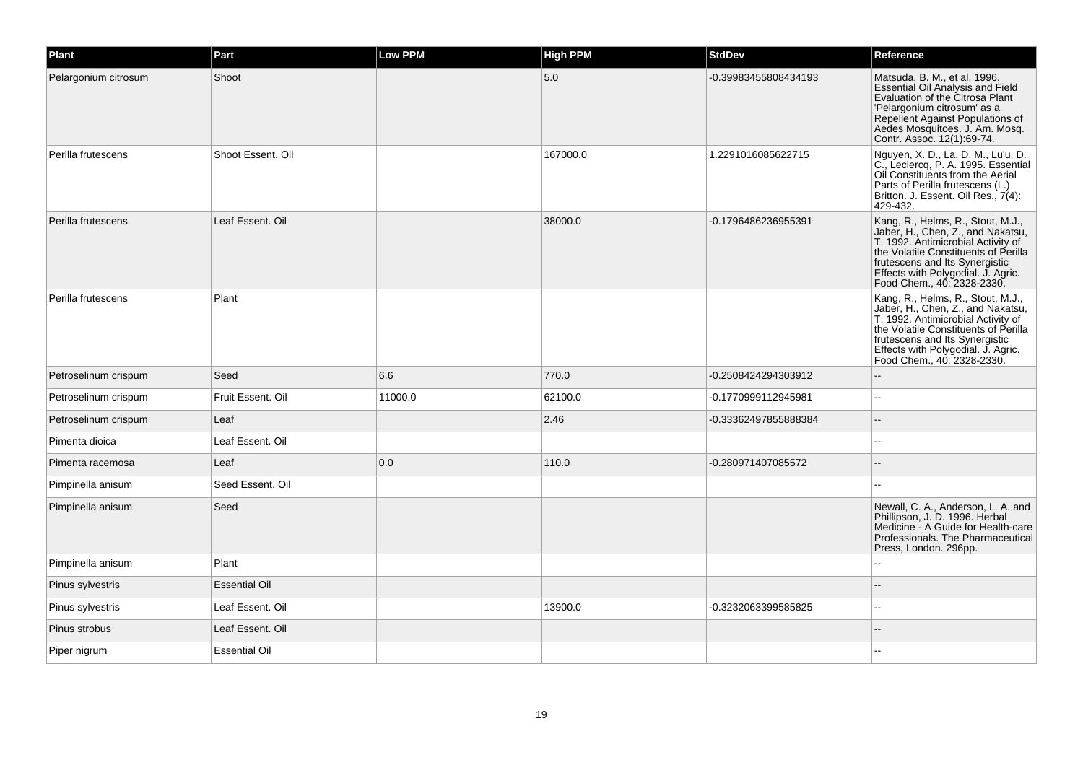| Plant                | Part                 | <b>Low PPM</b> | <b>High PPM</b> | <b>StdDev</b>        | Reference                                                                                                                                                                                                                                                  |
|----------------------|----------------------|----------------|-----------------|----------------------|------------------------------------------------------------------------------------------------------------------------------------------------------------------------------------------------------------------------------------------------------------|
| Pelargonium citrosum | Shoot                |                | 5.0             | -0.39983455808434193 | Matsuda, B. M., et al. 1996.<br>Essential Oil Analysis and Field<br>Evaluation of the Citrosa Plant<br>'Pelargonium citrosum' as a<br>Repellent Against Populations of<br>Aedes Mosquitoes. J. Am. Mosq.<br>Contr. Assoc. 12(1):69-74.                     |
| Perilla frutescens   | Shoot Essent. Oil    |                | 167000.0        | 1.2291016085622715   | Nguyen, X. D., La, D. M., Lu'u, D.<br>C., Leclercq, P. A. 1995. Essential<br>Oil Constituents from the Aerial<br>Parts of Perilla frutescens (L.)<br>Britton. J. Essent. Oil Res., 7(4):<br>429-432.                                                       |
| Perilla frutescens   | Leaf Essent. Oil     |                | 38000.0         | -0.1796486236955391  | Kang, R., Helms, R., Stout, M.J.,<br>Jaber, H., Chen, Z., and Nakatsu,<br>T. 1992. Antimicrobial Activity of<br>the Volatile Constituents of Perilla<br>frutescens and Its Synergistic<br>Effects with Polygodial. J. Agric.<br>Food Chem., 40: 2328-2330. |
| Perilla frutescens   | Plant                |                |                 |                      | Kang, R., Helms, R., Stout, M.J.,<br>Jaber, H., Chen, Z., and Nakatsu,<br>T. 1992. Antimicrobial Activity of<br>the Volatile Constituents of Perilla<br>frutescens and Its Synergistic<br>Effects with Polygodial. J. Agric.<br>Food Chem., 40: 2328-2330. |
| Petroselinum crispum | Seed                 | 6.6            | 770.0           | -0.2508424294303912  | $-$                                                                                                                                                                                                                                                        |
| Petroselinum crispum | Fruit Essent, Oil    | 11000.0        | 62100.0         | -0.1770999112945981  | $\overline{a}$                                                                                                                                                                                                                                             |
| Petroselinum crispum | Leaf                 |                | 2.46            | -0.33362497855888384 | --                                                                                                                                                                                                                                                         |
| Pimenta dioica       | Leaf Essent. Oil     |                |                 |                      | $\overline{a}$                                                                                                                                                                                                                                             |
| Pimenta racemosa     | Leaf                 | 0.0            | 110.0           | -0.280971407085572   |                                                                                                                                                                                                                                                            |
| Pimpinella anisum    | Seed Essent, Oil     |                |                 |                      |                                                                                                                                                                                                                                                            |
| Pimpinella anisum    | Seed                 |                |                 |                      | Newall, C. A., Anderson, L. A. and<br>Phillipson, J. D. 1996. Herbal<br>Medicine - A Guide for Health-care<br>Professionals. The Pharmaceutical<br>Press, London. 296pp.                                                                                   |
| Pimpinella anisum    | Plant                |                |                 |                      |                                                                                                                                                                                                                                                            |
| Pinus sylvestris     | <b>Essential Oil</b> |                |                 |                      |                                                                                                                                                                                                                                                            |
| Pinus sylvestris     | Leaf Essent. Oil     |                | 13900.0         | -0.3232063399585825  |                                                                                                                                                                                                                                                            |
| Pinus strobus        | Leaf Essent. Oil     |                |                 |                      |                                                                                                                                                                                                                                                            |
| Piper nigrum         | <b>Essential Oil</b> |                |                 |                      |                                                                                                                                                                                                                                                            |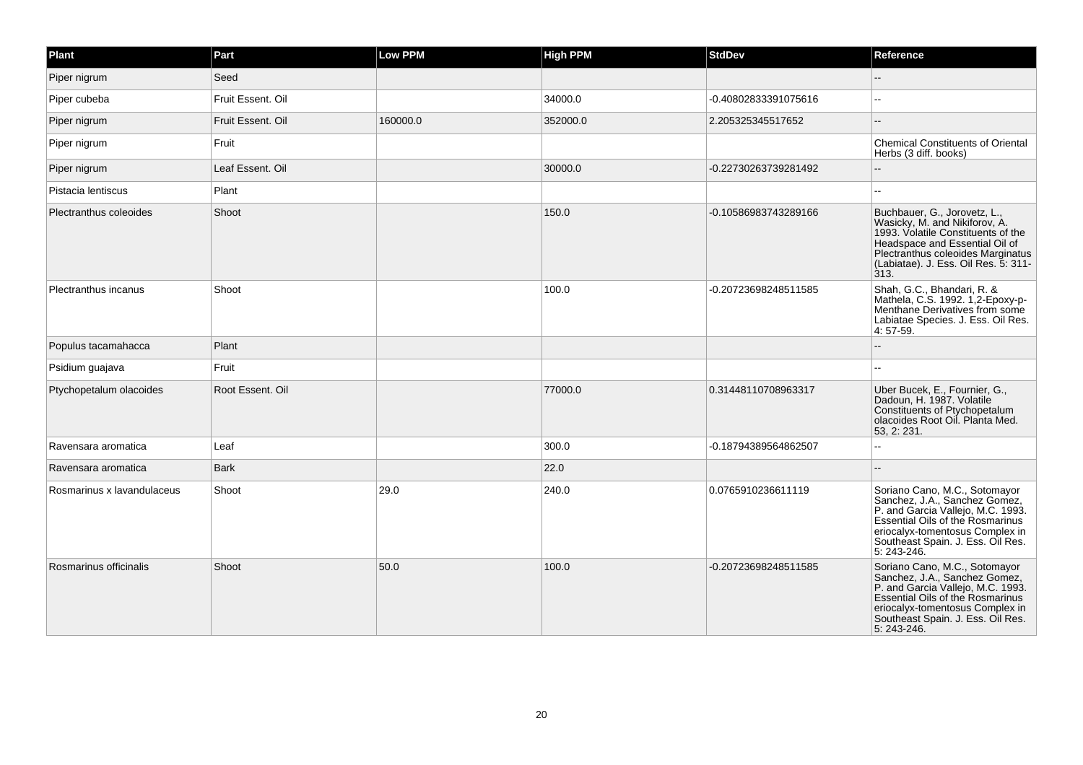| Plant                      | Part              | <b>Low PPM</b> | <b>High PPM</b> | StdDev               | Reference                                                                                                                                                                                                                          |
|----------------------------|-------------------|----------------|-----------------|----------------------|------------------------------------------------------------------------------------------------------------------------------------------------------------------------------------------------------------------------------------|
| Piper nigrum               | Seed              |                |                 |                      |                                                                                                                                                                                                                                    |
| Piper cubeba               | Fruit Essent. Oil |                | 34000.0         | -0.40802833391075616 |                                                                                                                                                                                                                                    |
| Piper nigrum               | Fruit Essent. Oil | 160000.0       | 352000.0        | 2.205325345517652    |                                                                                                                                                                                                                                    |
| Piper nigrum               | Fruit             |                |                 |                      | <b>Chemical Constituents of Oriental</b><br>Herbs (3 diff. books)                                                                                                                                                                  |
| Piper nigrum               | Leaf Essent. Oil  |                | 30000.0         | -0.22730263739281492 |                                                                                                                                                                                                                                    |
| Pistacia lentiscus         | Plant             |                |                 |                      | $\overline{a}$                                                                                                                                                                                                                     |
| Plectranthus coleoides     | Shoot             |                | 150.0           | -0.10586983743289166 | Buchbauer, G., Jorovetz, L.,<br>Wasicky, M. and Nikiforov, A.<br>1993. Volatile Constituents of the<br>Headspace and Essential Oil of<br>Plectranthus coleoides Marginatus<br>(Labiatae). J. Ess. Oil Res. 5: 311-<br>313.         |
| Plectranthus incanus       | Shoot             |                | 100.0           | -0.20723698248511585 | Shah, G.C., Bhandari, R. &<br>Mathela, C.S. 1992. 1,2-Epoxy-p-<br>Menthane Derivatives from some<br>Labiatae Species. J. Ess. Oil Res.<br>4:57-59.                                                                                 |
| Populus tacamahacca        | Plant             |                |                 |                      |                                                                                                                                                                                                                                    |
| Psidium guajava            | Fruit             |                |                 |                      |                                                                                                                                                                                                                                    |
| Ptychopetalum olacoides    | Root Essent. Oil  |                | 77000.0         | 0.31448110708963317  | Uber Bucek, E., Fournier, G.,<br>Dadoun, H. 1987. Volatile<br>Constituents of Ptychopetalum<br>olacoides Root Oil. Planta Med.<br>53, 2: 231.                                                                                      |
| Ravensara aromatica        | Leaf              |                | 300.0           | -0.18794389564862507 |                                                                                                                                                                                                                                    |
| Ravensara aromatica        | <b>Bark</b>       |                | 22.0            |                      |                                                                                                                                                                                                                                    |
| Rosmarinus x lavandulaceus | Shoot             | 29.0           | 240.0           | 0.0765910236611119   | Soriano Cano, M.C., Sotomayor<br>Sanchez, J.A., Sanchez Gomez,<br>P. and Garcia Vallejo, M.C. 1993.<br>Essential Oils of the Rosmarinus<br>eriocalyx-tomentosus Complex in<br>Southeast Spain. J. Ess. Oil Res.<br>$5: 243 - 246.$ |
| Rosmarinus officinalis     | Shoot             | 50.0           | 100.0           | -0.20723698248511585 | Soriano Cano, M.C., Sotomayor<br>Sanchez, J.A., Sanchez Gomez,<br>P. and Garcia Vallejo, M.C. 1993.<br>Essential Oils of the Rosmarinus<br>eriocalyx-tomentosus Complex in<br>Southeast Spain. J. Ess. Oil Res.<br>5: 243-246.     |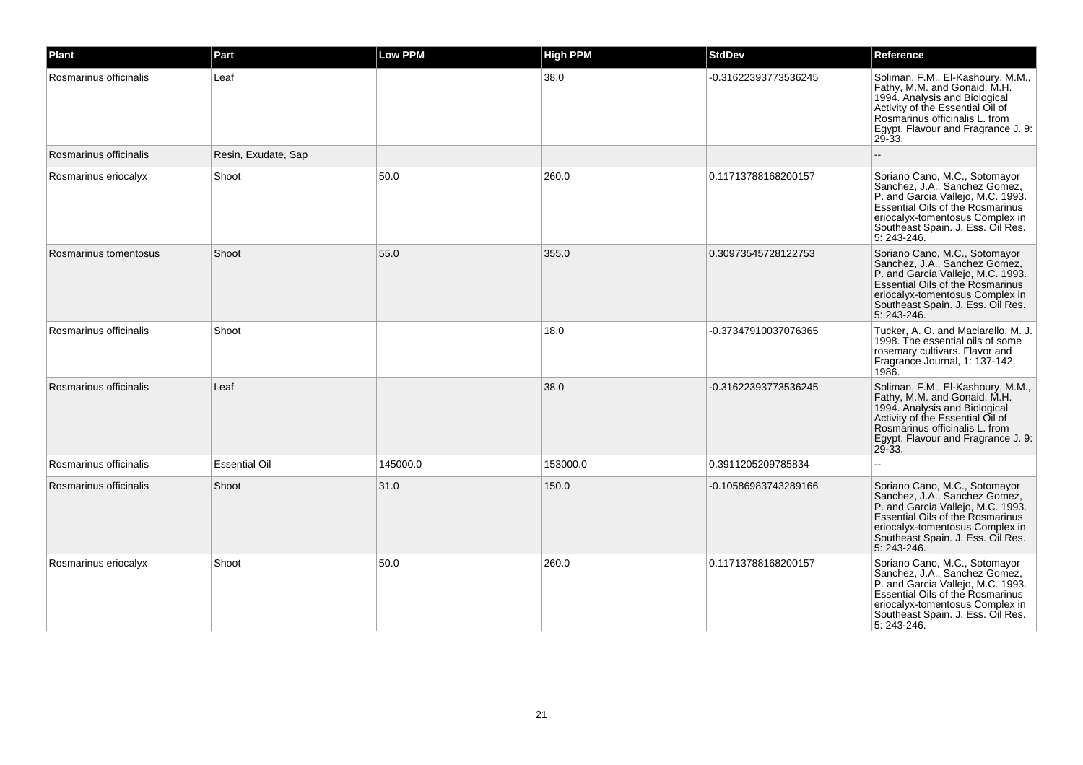| Plant                  | Part                 | Low PPM  | <b>High PPM</b> | <b>StdDev</b>        | Reference                                                                                                                                                                                                                             |
|------------------------|----------------------|----------|-----------------|----------------------|---------------------------------------------------------------------------------------------------------------------------------------------------------------------------------------------------------------------------------------|
| Rosmarinus officinalis | Leaf                 |          | 38.0            | -0.31622393773536245 | Soliman, F.M., El-Kashoury, M.M.,<br>Fathy, M.M. and Gonaid, M.H.<br>1994. Analysis and Biological<br>Activity of the Essential Oil of<br>Rosmarinus officinalis L. from<br>Egypt. Flavour and Fragrance J. 9:<br>$29 - 33$ .         |
| Rosmarinus officinalis | Resin, Exudate, Sap  |          |                 |                      |                                                                                                                                                                                                                                       |
| Rosmarinus eriocalyx   | Shoot                | 50.0     | 260.0           | 0.11713788168200157  | Soriano Cano, M.C., Sotomayor<br>Sanchez, J.A., Sanchez Gomez,<br>P. and Garcia Vallejo, M.C. 1993.<br><b>Essential Oils of the Rosmarinus</b><br>eriocalyx-tomentosus Complex in<br>Southeast Spain. J. Ess. Oil Res.<br>5: 243-246. |
| Rosmarinus tomentosus  | Shoot                | 55.0     | 355.0           | 0.30973545728122753  | Soriano Cano, M.C., Sotomayor<br>Sanchez, J.A., Sanchez Gomez,<br>P. and Garcia Vallejo, M.C. 1993.<br><b>Essential Oils of the Rosmarinus</b><br>eriocalyx-tomentosus Complex in<br>Southeast Spain. J. Ess. Oil Res.<br>5: 243-246. |
| Rosmarinus officinalis | Shoot                |          | 18.0            | -0.37347910037076365 | Tucker, A. O. and Maciarello, M. J.<br>1998. The essential oils of some<br>rosemary cultivars. Flavor and<br>Fragrance Journal, 1: 137-142.<br>1986.                                                                                  |
| Rosmarinus officinalis | Leaf                 |          | 38.0            | -0.31622393773536245 | Soliman, F.M., El-Kashoury, M.M.,<br>Fathy, M.M. and Gonaid, M.H.<br>1994. Analysis and Biological<br>Activity of the Essential Oil of<br>Rosmarinus officinalis L. from<br>Egypt. Flavour and Fragrance J. 9:<br>$29 - 33$ .         |
| Rosmarinus officinalis | <b>Essential Oil</b> | 145000.0 | 153000.0        | 0.3911205209785834   |                                                                                                                                                                                                                                       |
| Rosmarinus officinalis | Shoot                | 31.0     | 150.0           | -0.10586983743289166 | Soriano Cano, M.C., Sotomayor<br>Sanchez, J.A., Sanchez Gomez,<br>P. and Garcia Vallejo, M.C. 1993.<br><b>Essential Oils of the Rosmarinus</b><br>eriocalyx-tomentosus Complex in<br>Southeast Spain. J. Ess. Oil Res.<br>5: 243-246. |
| Rosmarinus eriocalyx   | Shoot                | 50.0     | 260.0           | 0.11713788168200157  | Soriano Cano, M.C., Sotomayor<br>Sanchez, J.A., Sanchez Gomez,<br>P. and Garcia Vallejo, M.C. 1993.<br>Essential Oils of the Rosmarinus<br>eriocalyx-tomentosus Complex in<br>Southeast Spain. J. Ess. Oil Res.<br>5: 243-246.        |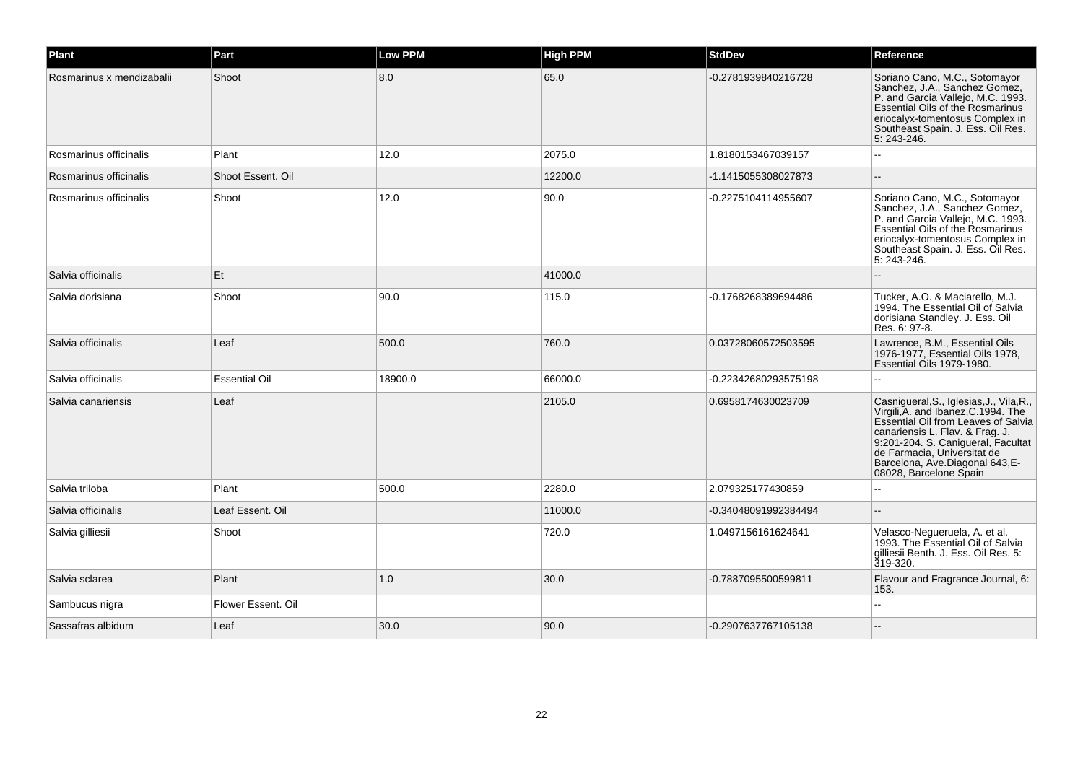| Plant                     | Part                 | Low PPM | <b>High PPM</b> | <b>StdDev</b>        | Reference                                                                                                                                                                                                                                                                                   |
|---------------------------|----------------------|---------|-----------------|----------------------|---------------------------------------------------------------------------------------------------------------------------------------------------------------------------------------------------------------------------------------------------------------------------------------------|
| Rosmarinus x mendizabalii | Shoot                | 8.0     | 65.0            | -0.2781939840216728  | Soriano Cano, M.C., Sotomayor<br>Sanchez, J.A., Sanchez Gomez,<br>P. and Garcia Vallejo, M.C. 1993.<br><b>Essential Oils of the Rosmarinus</b><br>eriocalyx-tomentosus Complex in<br>Southeast Spain. J. Ess. Oil Res.<br>5: 243-246.                                                       |
| Rosmarinus officinalis    | Plant                | 12.0    | 2075.0          | 1.8180153467039157   |                                                                                                                                                                                                                                                                                             |
| Rosmarinus officinalis    | Shoot Essent, Oil    |         | 12200.0         | -1.1415055308027873  |                                                                                                                                                                                                                                                                                             |
| Rosmarinus officinalis    | Shoot                | 12.0    | 90.0            | -0.2275104114955607  | Soriano Cano, M.C., Sotomayor<br>Sanchez, J.A., Sanchez Gomez,<br>P. and Garcia Vallejo, M.C. 1993.<br><b>Essential Oils of the Rosmarinus</b><br>eriocalyx-tomentosus Complex in<br>Southeast Spain. J. Ess. Oil Res.<br>5: 243-246.                                                       |
| Salvia officinalis        | Et                   |         | 41000.0         |                      |                                                                                                                                                                                                                                                                                             |
| Salvia dorisiana          | Shoot                | 90.0    | 115.0           | -0.1768268389694486  | Tucker, A.O. & Maciarello, M.J.<br>1994. The Essential Oil of Salvia<br>dorisiana Standley. J. Ess. Oil<br>Res. 6: 97-8.                                                                                                                                                                    |
| Salvia officinalis        | Leaf                 | 500.0   | 760.0           | 0.03728060572503595  | Lawrence, B.M., Essential Oils<br>1976-1977, Essential Oils 1978,<br>Essential Oils 1979-1980.                                                                                                                                                                                              |
| Salvia officinalis        | <b>Essential Oil</b> | 18900.0 | 66000.0         | -0.22342680293575198 | $\overline{a}$                                                                                                                                                                                                                                                                              |
| Salvia canariensis        | Leaf                 |         | 2105.0          | 0.6958174630023709   | Casnigueral, S., Iglesias, J., Vila, R.,<br>Virgili, A. and Ibanez, C. 1994. The<br>Essential Oil from Leaves of Salvia<br>canariensis L. Flav. & Frag. J.<br>9:201-204. S. Canigueral, Facultat<br>de Farmacia, Universitat de<br>Barcelona, Ave.Diagonal 643,E-<br>08028, Barcelone Spain |
| Salvia triloba            | Plant                | 500.0   | 2280.0          | 2.079325177430859    | $\overline{a}$                                                                                                                                                                                                                                                                              |
| Salvia officinalis        | Leaf Essent. Oil     |         | 11000.0         | -0.34048091992384494 |                                                                                                                                                                                                                                                                                             |
| Salvia gilliesii          | Shoot                |         | 720.0           | 1.0497156161624641   | Velasco-Negueruela, A. et al.<br>1993. The Essential Oil of Salvia<br>gilliesii Benth. J. Ess. Oil Res. 5:<br>319-320.                                                                                                                                                                      |
| Salvia sclarea            | Plant                | 1.0     | 30.0            | -0.7887095500599811  | Flavour and Fragrance Journal, 6:<br>153.                                                                                                                                                                                                                                                   |
| Sambucus nigra            | Flower Essent. Oil   |         |                 |                      |                                                                                                                                                                                                                                                                                             |
| Sassafras albidum         | Leaf                 | 30.0    | 90.0            | -0.2907637767105138  |                                                                                                                                                                                                                                                                                             |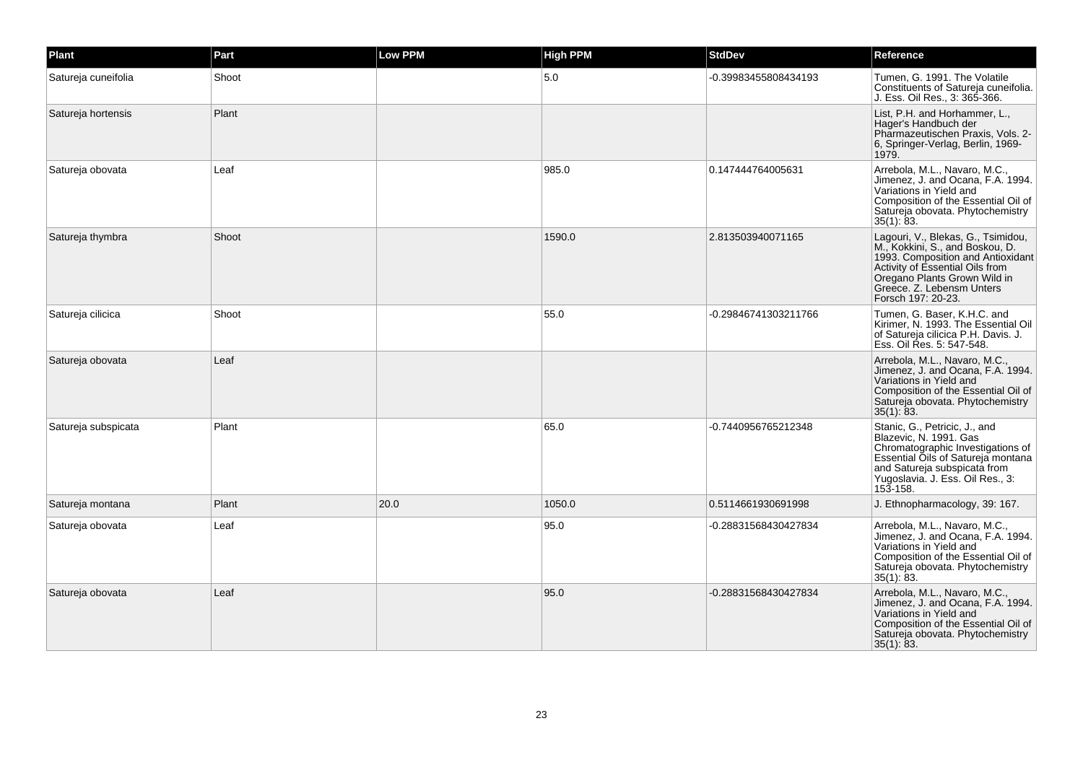| Plant               | Part  | <b>Low PPM</b> | <b>High PPM</b> | <b>StdDev</b>        | Reference                                                                                                                                                                                                                        |
|---------------------|-------|----------------|-----------------|----------------------|----------------------------------------------------------------------------------------------------------------------------------------------------------------------------------------------------------------------------------|
| Satureja cuneifolia | Shoot |                | 5.0             | -0.39983455808434193 | Tumen, G. 1991. The Volatile<br>Constituents of Satureja cuneifolia.<br>J. Ess. Oil Res., 3: 365-366.                                                                                                                            |
| Satureja hortensis  | Plant |                |                 |                      | List, P.H. and Horhammer, L.,<br>Hager's Handbuch der<br>Pharmazeutischen Praxis, Vols. 2-<br>6, Springer-Verlag, Berlin, 1969-<br>1979.                                                                                         |
| Satureja obovata    | Leaf  |                | 985.0           | 0.147444764005631    | Arrebola, M.L., Navaro, M.C.,<br>Jimenez, J. and Ocana, F.A. 1994.<br>Variations in Yield and<br>Composition of the Essential Oil of<br>Satureja obovata. Phytochemistry<br>35(1): 83.                                           |
| Satureja thymbra    | Shoot |                | 1590.0          | 2.813503940071165    | Lagouri, V., Blekas, G., Tsimidou,<br>M., Kokkini, S., and Boskou, D.<br>1993. Composition and Antioxidant<br>Activity of Essential Oils from<br>Oregano Plants Grown Wild in<br>Greece. Z. Lebensm Unters<br>Forsch 197: 20-23. |
| Satureja cilicica   | Shoot |                | 55.0            | -0.29846741303211766 | Tumen, G. Baser, K.H.C. and<br>Kirimer, N. 1993. The Essential Oil<br>of Satureja cilicica P.H. Davis. J.<br>Ess. Oil Res. 5: 547-548.                                                                                           |
| Satureja obovata    | Leaf  |                |                 |                      | Arrebola, M.L., Navaro, M.C.,<br>Jimenez, J. and Ocana, F.A. 1994.<br>Variations in Yield and<br>Composition of the Essential Oil of<br>Satureja obovata. Phytochemistry<br>35(1): 83.                                           |
| Satureja subspicata | Plant |                | 65.0            | -0.7440956765212348  | Stanic, G., Petricic, J., and<br>Blazevic, N. 1991, Gas<br>Chromatographic Investigations of<br>Essential Oils of Satureja montana<br>and Satureja subspicata from<br>Yugoslavia. J. Ess. Oil Res., 3:<br>153-158.               |
| Satureja montana    | Plant | 20.0           | 1050.0          | 0.5114661930691998   | J. Ethnopharmacology, 39: 167.                                                                                                                                                                                                   |
| Satureja obovata    | Leaf  |                | 95.0            | -0.28831568430427834 | Arrebola, M.L., Navaro, M.C.,<br>Jimenez, J. and Ocana, F.A. 1994.<br>Variations in Yield and<br>Composition of the Essential Oil of<br>Satureja obovata. Phytochemistry<br>35(1): 83.                                           |
| Satureja obovata    | Leaf  |                | 95.0            | -0.28831568430427834 | Arrebola, M.L., Navaro, M.C.,<br>Jimenez, J. and Ocana, F.A. 1994.<br>Variations in Yield and<br>Composition of the Essential Oil of<br>Satureja obovata. Phytochemistry<br>35(1): 83.                                           |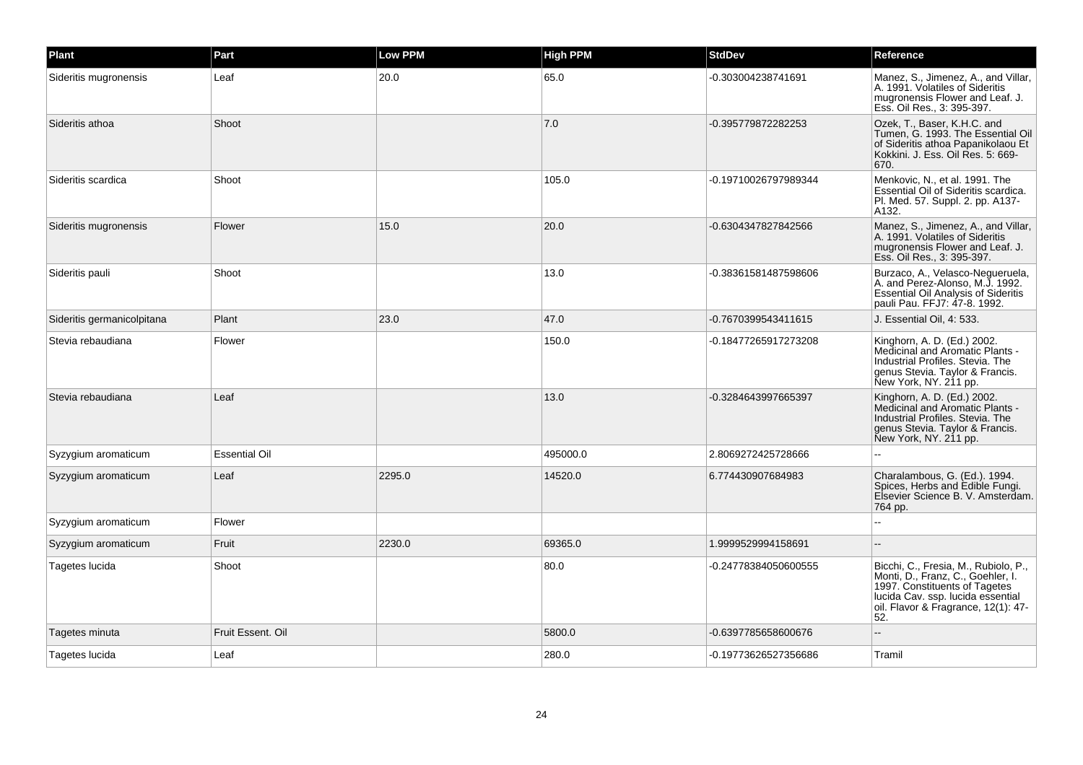| Plant                      | Part                 | Low PPM | <b>High PPM</b> | <b>StdDev</b>        | Reference                                                                                                                                                                                     |
|----------------------------|----------------------|---------|-----------------|----------------------|-----------------------------------------------------------------------------------------------------------------------------------------------------------------------------------------------|
| Sideritis mugronensis      | Leaf                 | 20.0    | 65.0            | -0.303004238741691   | Manez, S., Jimenez, A., and Villar,<br>A. 1991. Volatiles of Sideritis<br>mugronensis Flower and Leaf. J.<br>Ess. Oil Res., 3: 395-397.                                                       |
| Sideritis athoa            | Shoot                |         | 7.0             | -0.395779872282253   | Ozek, T., Baser, K.H.C. and<br>Tumen, G. 1993. The Essential Oil<br>of Sideritis athoa Papanikolaou Et<br>Kokkini, J. Ess. Oil Res. 5: 669-<br>670.                                           |
| Sideritis scardica         | Shoot                |         | 105.0           | -0.19710026797989344 | Menkovic, N., et al. 1991. The<br>Essential Oil of Sideritis scardica.<br>Pl. Med. 57. Suppl. 2. pp. A137-<br>A132.                                                                           |
| Sideritis mugronensis      | Flower               | 15.0    | 20.0            | -0.6304347827842566  | Manez, S., Jimenez, A., and Villar,<br>A. 1991. Volatiles of Sideritis<br>mugronensis Flower and Leaf. J.<br>Ess. Oil Res., 3: 395-397.                                                       |
| Sideritis pauli            | Shoot                |         | 13.0            | -0.38361581487598606 | Burzaco, A., Velasco-Negueruela,<br>A. and Perez-Alonso, M.J. 1992.<br><b>Essential Oil Analysis of Sideritis</b><br>pauli Pau. FFJ7: 47-8. 1992.                                             |
| Sideritis germanicolpitana | Plant                | 23.0    | 47.0            | -0.7670399543411615  | J. Essential Oil, 4: 533.                                                                                                                                                                     |
| Stevia rebaudiana          | Flower               |         | 150.0           | -0.18477265917273208 | Kinghorn, A. D. (Ed.) 2002.<br>Medicinal and Aromatic Plants -<br>Industrial Profiles, Stevia, The<br>genus Stevia. Taylor & Francis.<br>New York, NY. 211 pp.                                |
| Stevia rebaudiana          | Leaf                 |         | 13.0            | -0.3284643997665397  | Kinghorn, A. D. (Ed.) 2002.<br>Medicinal and Aromatic Plants -<br>Industrial Profiles, Stevia, The<br>genus Stevia. Taylor & Francis.<br>New York, NY. 211 pp.                                |
| Syzygium aromaticum        | <b>Essential Oil</b> |         | 495000.0        | 2.8069272425728666   |                                                                                                                                                                                               |
| Syzygium aromaticum        | Leaf                 | 2295.0  | 14520.0         | 6.774430907684983    | Charalambous, G. (Ed.). 1994.<br>Spices, Herbs and Edible Fungi.<br>Elsevier Science B. V. Amsterdam.<br>764 pp.                                                                              |
| Syzygium aromaticum        | Flower               |         |                 |                      |                                                                                                                                                                                               |
| Syzygium aromaticum        | Fruit                | 2230.0  | 69365.0         | 1.9999529994158691   |                                                                                                                                                                                               |
| Tagetes lucida             | Shoot                |         | 80.0            | -0.24778384050600555 | Bicchi, C., Fresia, M., Rubiolo, P.,<br>Monti, D., Franz, C., Goehler, I.<br>1997. Constituents of Tagetes<br>lucida Cav. ssp. lucida essential<br>oil. Flavor & Fragrance, 12(1): 47-<br>52. |
| Tagetes minuta             | Fruit Essent, Oil    |         | 5800.0          | -0.6397785658600676  |                                                                                                                                                                                               |
| Tagetes lucida             | Leaf                 |         | 280.0           | -0.19773626527356686 | Tramil                                                                                                                                                                                        |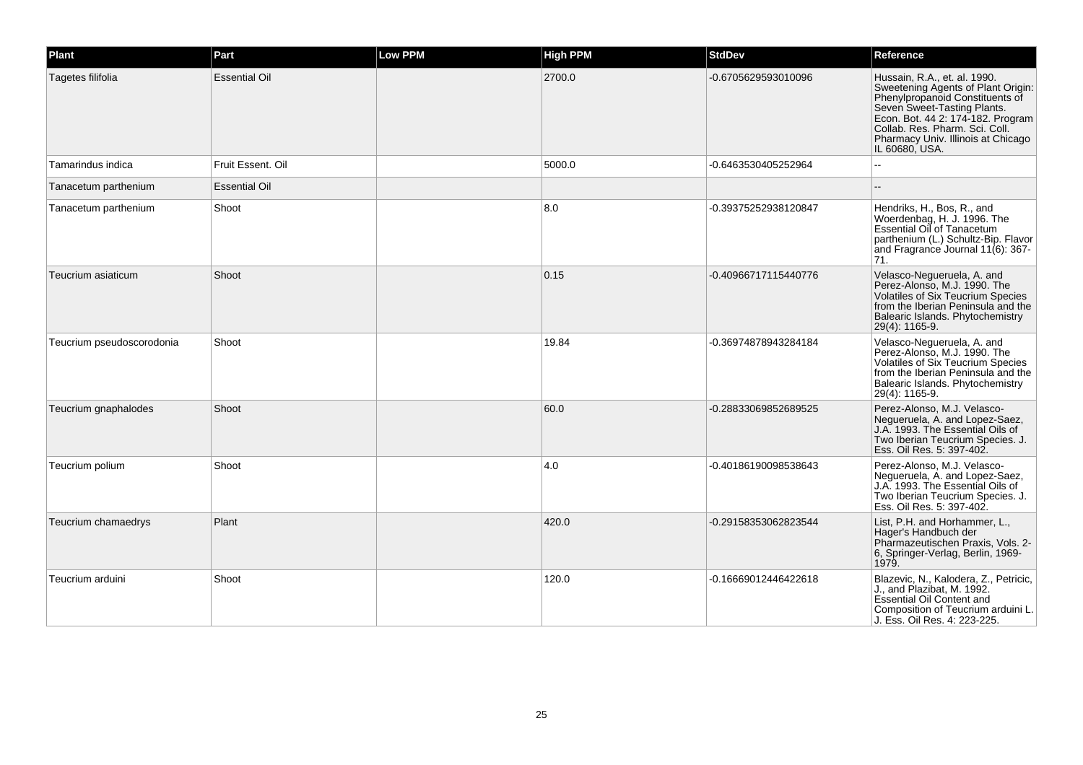| Plant                     | Part                 | <b>Low PPM</b> | <b>High PPM</b> | <b>StdDev</b>        | Reference                                                                                                                                                                                                                                                           |
|---------------------------|----------------------|----------------|-----------------|----------------------|---------------------------------------------------------------------------------------------------------------------------------------------------------------------------------------------------------------------------------------------------------------------|
| Tagetes filifolia         | <b>Essential Oil</b> |                | 2700.0          | -0.6705629593010096  | Hussain, R.A., et. al. 1990.<br>Sweetening Agents of Plant Origin:<br>Phenylpropanoid Constituents of<br>Seven Sweet-Tasting Plants.<br>Econ. Bot. 44 2: 174-182. Program<br>Collab. Res. Pharm. Sci. Coll.<br>Pharmacy Univ. Illinois at Chicago<br>IL 60680, USA. |
| Tamarindus indica         | Fruit Essent, Oil    |                | 5000.0          | -0.6463530405252964  |                                                                                                                                                                                                                                                                     |
| Tanacetum parthenium      | <b>Essential Oil</b> |                |                 |                      |                                                                                                                                                                                                                                                                     |
| Tanacetum parthenium      | Shoot                |                | 8.0             | -0.39375252938120847 | Hendriks, H., Bos, R., and<br>Woerdenbag, H. J. 1996. The<br><b>Essential Oil of Tanacetum</b><br>parthenium (L.) Schultz-Bip. Flavor<br>and Fragrance Journal 11(6): 367-<br>71.                                                                                   |
| Teucrium asiaticum        | Shoot                |                | 0.15            | -0.40966717115440776 | Velasco-Negueruela, A. and<br>Perez-Alonso, M.J. 1990. The<br>Volatiles of Six Teucrium Species<br>from the Iberian Peninsula and the<br>Balearic Islands. Phytochemistry<br>29(4): 1165-9.                                                                         |
| Teucrium pseudoscorodonia | Shoot                |                | 19.84           | -0.36974878943284184 | Velasco-Negueruela, A. and<br>Perez-Alonso, M.J. 1990. The<br>Volatiles of Six Teucrium Species<br>from the Iberian Peninsula and the<br>Balearic Islands. Phytochemistry<br>29(4): 1165-9.                                                                         |
| Teucrium gnaphalodes      | Shoot                |                | 60.0            | -0.28833069852689525 | Perez-Alonso, M.J. Velasco-<br>Nequeruela, A. and Lopez-Saez,<br>J.A. 1993. The Essential Oils of<br>Two Iberian Teucrium Species. J.<br>Ess. Oil Res. 5: 397-402.                                                                                                  |
| Teucrium polium           | Shoot                |                | 4.0             | -0.40186190098538643 | Perez-Alonso, M.J. Velasco-<br>Negueruela, A. and Lopez-Saez,<br>J.A. 1993. The Essential Oils of<br>Two Iberian Teucrium Species. J.<br>Ess. Oil Res. 5: 397-402.                                                                                                  |
| Teucrium chamaedrys       | Plant                |                | 420.0           | -0.29158353062823544 | List, P.H. and Horhammer, L.,<br>Hager's Handbuch der<br>Pharmazeutischen Praxis, Vols. 2-<br>6, Springer-Verlag, Berlin, 1969-<br>1979.                                                                                                                            |
| Teucrium arduini          | Shoot                |                | 120.0           | -0.16669012446422618 | Blazevic, N., Kalodera, Z., Petricic,<br>J., and Plazibat, M. 1992.<br>Essential Oil Content and<br>Composition of Teucrium arduini L.<br>J. Ess. Oil Res. 4: 223-225.                                                                                              |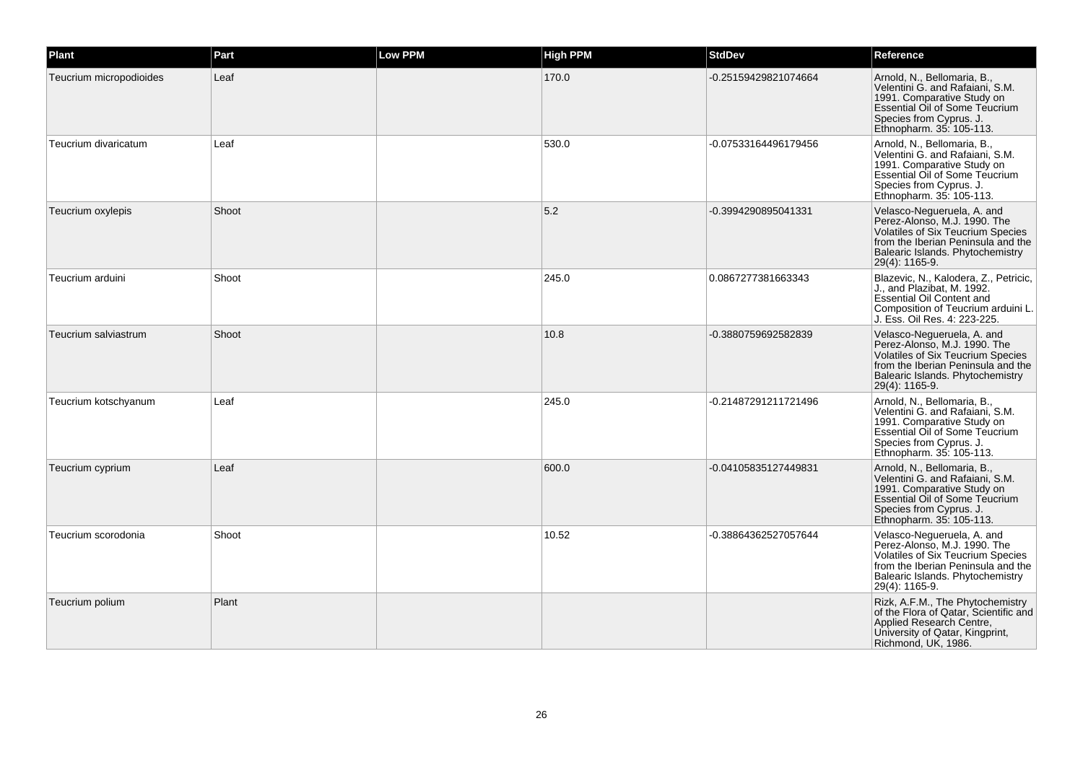| Plant                   | Part  | <b>Low PPM</b> | <b>High PPM</b> | <b>StdDev</b>        | Reference                                                                                                                                                                                          |
|-------------------------|-------|----------------|-----------------|----------------------|----------------------------------------------------------------------------------------------------------------------------------------------------------------------------------------------------|
| Teucrium micropodioides | Leaf  |                | 170.0           | -0.25159429821074664 | Arnold, N., Bellomaria, B.,<br>Velentini G. and Rafaiani, S.M.<br>1991. Comparative Study on<br><b>Essential Oil of Some Teucrium</b><br>Species from Cyprus. J.<br>Ethnopharm. 35: 105-113.       |
| Teucrium divaricatum    | Leaf  |                | 530.0           | -0.07533164496179456 | Arnold, N., Bellomaria, B.,<br>Velentini G. and Rafaiani, S.M.<br>1991. Comparative Study on<br>Essential Oil of Some Teucrium<br>Species from Cyprus. J.<br>Ethnopharm. 35: 105-113.              |
| Teucrium oxylepis       | Shoot |                | 5.2             | -0.3994290895041331  | Velasco-Nequeruela, A. and<br>Perez-Alonso, M.J. 1990. The<br>Volatiles of Six Teucrium Species<br>from the Iberian Peninsula and the<br>Balearic Islands. Phytochemistry<br>29(4): 1165-9.        |
| Teucrium arduini        | Shoot |                | 245.0           | 0.0867277381663343   | Blazevic, N., Kalodera, Z., Petricic,<br>J., and Plazibat, M. 1992.<br><b>Essential Oil Content and</b><br>Composition of Teucrium arduini L.<br>J. Ess. Oil Res. 4: 223-225.                      |
| Teucrium salviastrum    | Shoot |                | 10.8            | -0.3880759692582839  | Velasco-Negueruela, A. and<br>Perez-Alonso, M.J. 1990. The<br><b>Volatiles of Six Teucrium Species</b><br>from the Iberian Peninsula and the<br>Balearic Islands. Phytochemistry<br>29(4): 1165-9. |
| Teucrium kotschyanum    | Leaf  |                | 245.0           | -0.21487291211721496 | Arnold, N., Bellomaria, B.,<br>Velentini G. and Rafaiani, S.M.<br>1991. Comparative Study on<br>Essential Oil of Some Teucrium<br>Species from Cyprus. J.<br>Ethnopharm. 35: 105-113.              |
| Teucrium cyprium        | Leaf  |                | 600.0           | -0.04105835127449831 | Arnold, N., Bellomaria, B.,<br>Velentini G. and Rafaiani, S.M.<br>1991. Comparative Study on<br>Essential Oil of Some Teucrium<br>Species from Cyprus. J.<br>Ethnopharm. 35: 105-113.              |
| Teucrium scorodonia     | Shoot |                | 10.52           | -0.38864362527057644 | Velasco-Nequeruela, A. and<br>Perez-Alonso, M.J. 1990. The<br>Volatiles of Six Teucrium Species<br>from the Iberian Peninsula and the<br>Balearic Islands. Phytochemistry<br>29(4): 1165-9.        |
| Teucrium polium         | Plant |                |                 |                      | Rizk, A.F.M., The Phytochemistry<br>of the Flora of Qatar, Scientific and<br>Applied Research Centre,<br>University of Qatar, Kingprint,<br>Richmond, UK, 1986.                                    |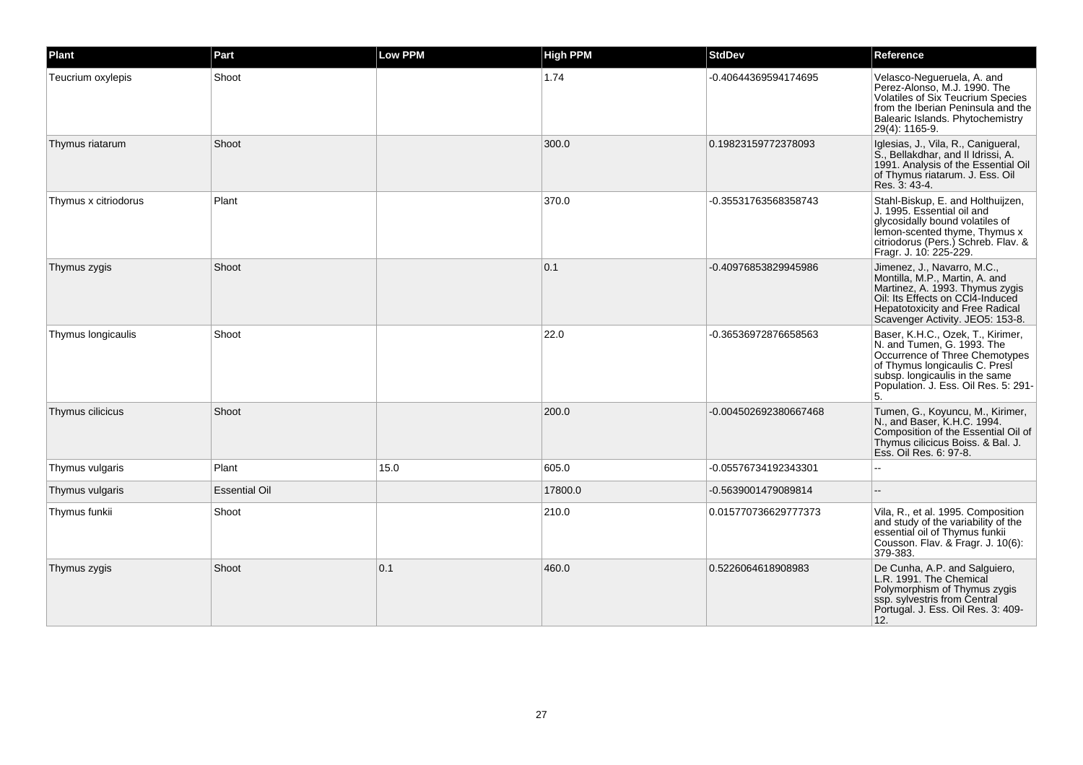| Plant                | Part                 | <b>Low PPM</b> | <b>High PPM</b> | <b>StdDev</b>         | Reference                                                                                                                                                                                                           |
|----------------------|----------------------|----------------|-----------------|-----------------------|---------------------------------------------------------------------------------------------------------------------------------------------------------------------------------------------------------------------|
| Teucrium oxylepis    | Shoot                |                | 1.74            | -0.40644369594174695  | Velasco-Nequeruela, A. and<br>Perez-Alonso, M.J. 1990. The<br>Volatiles of Six Teucrium Species<br>from the Iberian Peninsula and the<br>Balearic Islands. Phytochemistry<br>29(4): 1165-9.                         |
| Thymus riatarum      | Shoot                |                | 300.0           | 0.19823159772378093   | Iglesias, J., Vila, R., Canigueral,<br>S., Bellakdhar, and II Idrissi, A.<br>1991. Analysis of the Essential Oil<br>of Thymus riatarum. J. Ess. Oil<br>Res. 3: 43-4.                                                |
| Thymus x citriodorus | Plant                |                | 370.0           | -0.35531763568358743  | Stahl-Biskup, E. and Holthuijzen,<br>J. 1995. Essential oil and<br>glycosidally bound volatiles of<br>lemon-scented thyme, Thymus x<br>citriodorus (Pers.) Schreb. Flav. &<br>Fragr. J. 10: 225-229.                |
| Thymus zygis         | Shoot                |                | 0.1             | -0.40976853829945986  | Jimenez, J., Navarro, M.C.,<br>Montilla, M.P., Martin, A. and<br>Martinez, A. 1993. Thymus zygis<br>Oil: Its Effects on CCI4-Induced<br><b>Hepatotoxicity and Free Radical</b><br>Scavenger Activity. JEO5: 153-8.  |
| Thymus longicaulis   | Shoot                |                | 22.0            | -0.36536972876658563  | Baser, K.H.C., Ozek, T., Kirimer,<br>N. and Tumen, G. 1993. The<br>Occurrence of Three Chemotypes<br>of Thymus longicaulis C. Presi<br>subsp. longicaulis in the same<br>Population. J. Ess. Oil Res. 5: 291-<br>5. |
| Thymus cilicicus     | Shoot                |                | 200.0           | -0.004502692380667468 | Tumen, G., Koyuncu, M., Kirimer,<br>N., and Baser, K.H.C. 1994.<br>Composition of the Essential Oil of<br>Thymus cilicicus Boiss. & Bal. J.<br>Ess. Oil Res. 6: 97-8.                                               |
| Thymus vulgaris      | Plant                | 15.0           | 605.0           | -0.05576734192343301  |                                                                                                                                                                                                                     |
| Thymus vulgaris      | <b>Essential Oil</b> |                | 17800.0         | -0.5639001479089814   |                                                                                                                                                                                                                     |
| Thymus funkii        | Shoot                |                | 210.0           | 0.015770736629777373  | Vila, R., et al. 1995. Composition<br>and study of the variability of the<br>essential oil of Thymus funkii<br>Cousson. Flav. & Fragr. J. 10(6):<br>379-383.                                                        |
| Thymus zygis         | Shoot                | 0.1            | 460.0           | 0.5226064618908983    | De Cunha, A.P. and Salguiero,<br>L.R. 1991. The Chemical<br>Polymorphism of Thymus zygis<br>ssp. sylvestris from Central<br>Portugal. J. Ess. Oil Res. 3: 409-<br>12.                                               |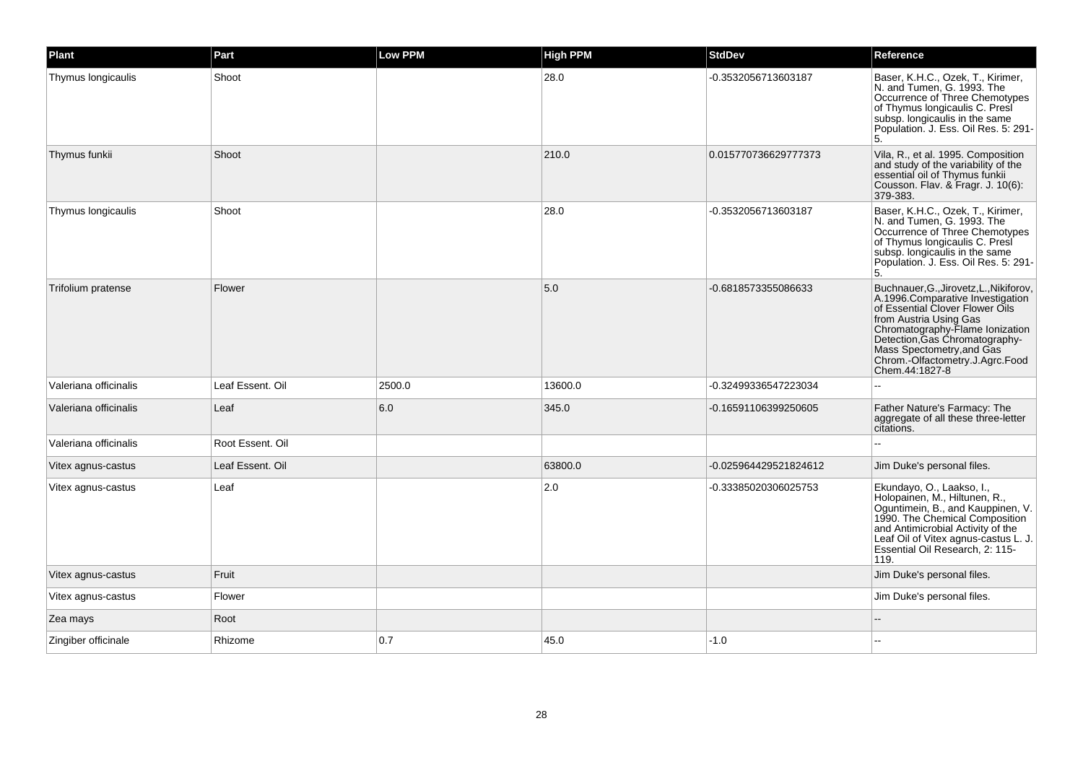| Plant                 | Part             | <b>Low PPM</b> | <b>High PPM</b> | <b>StdDev</b>         | Reference                                                                                                                                                                                                                                                                                       |
|-----------------------|------------------|----------------|-----------------|-----------------------|-------------------------------------------------------------------------------------------------------------------------------------------------------------------------------------------------------------------------------------------------------------------------------------------------|
| Thymus longicaulis    | Shoot            |                | 28.0            | -0.3532056713603187   | Baser, K.H.C., Ozek, T., Kirimer,<br>N. and Tumen, G. 1993. The<br>Occurrence of Three Chemotypes<br>of Thymus longicaulis C. Presi<br>subsp. longicaulis in the same<br>Population. J. Ess. Oil Res. 5: 291-<br>5.                                                                             |
| Thymus funkii         | Shoot            |                | 210.0           | 0.015770736629777373  | Vila, R., et al. 1995. Composition<br>and study of the variability of the<br>essential oil of Thymus funkii<br>Cousson. Flav. & Fragr. J. 10(6):<br>379-383.                                                                                                                                    |
| Thymus longicaulis    | Shoot            |                | 28.0            | -0.3532056713603187   | Baser, K.H.C., Ozek, T., Kirimer,<br>N. and Tumen, G. 1993. The<br>Occurrence of Three Chemotypes<br>of Thymus longicaulis C. Presi<br>subsp. longicaulis in the same<br>Population. J. Ess. Oil Res. 5: 291-<br>5.                                                                             |
| Trifolium pratense    | Flower           |                | 5.0             | -0.6818573355086633   | Buchnauer, G., Jirovetz, L., Nikiforov,<br>A.1996.Comparative Investigation<br>of Essential Clover Flower Oils<br>from Austria Using Gas<br>Chromatography-Flame Ionization<br>Detection, Gas Chromatography-<br>Mass Spectometry, and Gas<br>Chrom.-Olfactometry.J.Agrc.Food<br>Chem.44:1827-8 |
| Valeriana officinalis | Leaf Essent, Oil | 2500.0         | 13600.0         | -0.32499336547223034  | $\overline{a}$                                                                                                                                                                                                                                                                                  |
| Valeriana officinalis | Leaf             | 6.0            | 345.0           | -0.16591106399250605  | Father Nature's Farmacy: The<br>aggregate of all these three-letter<br>citations.                                                                                                                                                                                                               |
| Valeriana officinalis | Root Essent. Oil |                |                 |                       |                                                                                                                                                                                                                                                                                                 |
| Vitex agnus-castus    | Leaf Essent. Oil |                | 63800.0         | -0.025964429521824612 | Jim Duke's personal files.                                                                                                                                                                                                                                                                      |
| Vitex agnus-castus    | Leaf             |                | 2.0             | -0.33385020306025753  | Ekundayo, O., Laakso, I.,<br>Holopainen, M., Hiltunen, R.,<br>Oguntimein, B., and Kauppinen, V.<br>1990. The Chemical Composition<br>and Antimicrobial Activity of the<br>Leaf Oil of Vitex agnus-castus L. J.<br>Essential Oil Research, 2: 115-<br>119.                                       |
| Vitex agnus-castus    | Fruit            |                |                 |                       | Jim Duke's personal files.                                                                                                                                                                                                                                                                      |
| Vitex agnus-castus    | Flower           |                |                 |                       | Jim Duke's personal files.                                                                                                                                                                                                                                                                      |
| Zea mays              | Root             |                |                 |                       |                                                                                                                                                                                                                                                                                                 |
| Zingiber officinale   | Rhizome          | 0.7            | 45.0            | $-1.0$                |                                                                                                                                                                                                                                                                                                 |